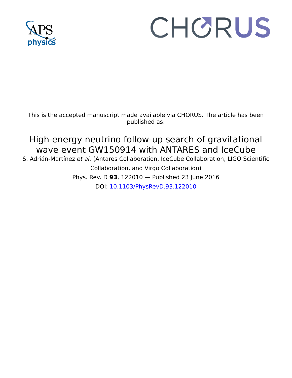

# CHORUS

This is the accepted manuscript made available via CHORUS. The article has been published as:

# High-energy neutrino follow-up search of gravitational wave event GW150914 with ANTARES and IceCube

S. Adrián-Martínez et al. (Antares Collaboration, IceCube Collaboration, LIGO Scientific Collaboration, and Virgo Collaboration) Phys. Rev. D **93**, 122010 — Published 23 June 2016 DOI: 10.1103/PhysRevD.93.122010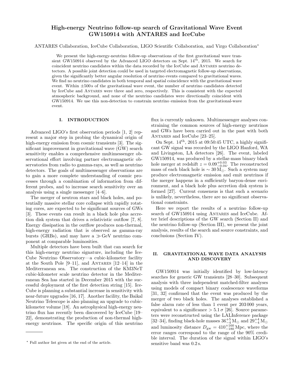# High-energy Neutrino follow-up search of Gravitational Wave Event GW150914 with ANTARES and IceCube

ANTARES Collaboration, IceCube Collaboration, LIGO Scientific Collaboration, and Virgo Collaboration<sup>∗</sup>

We present the high-energy-neutrino follow-up observations of the first gravitational wave transient GW150914 observed by the Advanced LIGO detectors on Sept.  $14<sup>th</sup>$ , 2015. We search for coincident neutrino candidates within the data recorded by the IceCube and Antares neutrino detectors. A possible joint detection could be used in targeted electromagnetic follow-up observations, given the significantly better angular resolution of neutrino events compared to gravitational waves. We find no neutrino candidates in both temporal and spatial coincidence with the gravitational wave event. Within  $\pm 500$  s of the gravitational wave event, the number of neutrino candidates detected by IceCube and Antares were three and zero, respectively. This is consistent with the expected atmospheric background, and none of the neutrino candidates were directionally coincident with GW150914. We use this non-detection to constrain neutrino emission from the gravitational-wave event.

#### I. INTRODUCTION

Advanced LIGO's first observation periods [1, 2] represent a major step in probing the dynamical origin of high-energy emission from cosmic transients [3]. The significant improvement in gravitational wave (GW) search sensitivity enables a comprehensive multimessenger observational effort involving partner electromagnetic observatories from radio to gamma-rays, as well as neutrino detectors. The goals of multimessenger observations are to gain a more complete understanding of cosmic processes through a combination of information from different probes, and to increase search sensitivity over an analysis using a single messenger [4–6].

The merger of neutron stars and black holes, and potentially massive stellar core collapse with rapidly rotating cores, are expected to be significant sources of GWs [3]. These events can result in a black hole plus accretion disk system that drives a relativistic outflow [7, 8]. Energy dissipation in the outflow produces non-thermal, high-energy radiation that is observed as gamma-ray bursts (GRBs), and may have a  $\gg$  GeV neutrino component at comparable luminosities.

Multiple detectors have been built that can search for this high-energy neutrino signature, including the Ice-Cube Neutrino Observatory—a cubic-kilometer facility at the South Pole  $[9-11]$ , and ANTARES  $[12-14]$  in the Mediterranean sea. The construction of the KM3NeT cubic-kilometer scale neutrino detector in the Mediterranean Sea has started in December 2015 with the successful deployment of the first detection string [15]. Ice-Cube is planning a substantial increase in sensitivity with near-future upgrades [16, 17]. Another facility, the Baikal Neutrino Telescope is also planning an upgrade to cubickilometer volume [18]. An astrophysical high-energy neutrino flux has recently been discovered by IceCube [19– 22], demonstrating the production of non-thermal highenergy neutrinos. The specific origin of this neutrino flux is currently unknown. Multimessenger analyses constraining the common sources of high-energy neutrinos and GWs have been carried out in the past with both ANTARES and IceCube [23-25].

On Sept.  $14<sup>th</sup>$ , 2015 at 09:50:45 UTC, a highly significant GW signal was recorded by the LIGO Hanford, WA and Livingston, LA detectors [26]. The event, labeled GW150914, was produced by a stellar-mass binary black hole merger at redshift  $z = 0.09_{-0.04}^{+0.03}$ . The reconstructed mass of each black hole is  $\sim 30 \,\mathrm{M}_\odot$ . Such a system may produce electromagnetic emission and emit neutrinos if the merger happens in a sufficiently baryon-dense environment, and a black hole plus accretion disk system is formed [27]. Current consensus is that such a scenario is unlikely, nevertheless, there are no significant observational constraints.

Here we report the results of a neutrino follow-up search of GW150914 using ANTARES and IceCube. After brief descriptions of the GW search (Section II) and the neutrino follow-up (Section III), we present the joint analysis, results of the search and source constraints, and conclusions (Section IV).

#### II. GRAVITATIONAL WAVE DATA ANALYSIS AND DISCOVERY

GW150914 was initially identified by low-latency searches for generic GW transients [28–30]. Subsequent analysis with three independent matched-filter analyses using models of compact binary coalescence waveforms [31, 32] confirmed that the event was produced by the merger of two black holes. The analyses established a false alarm rate of less than 1 event per 203 000 years, equivalent to a significance  $> 5.1 \sigma$  [26]. Source parameters were reconstructed using the LALInference package [32–34], finding black-hole masses  $36^{+5}_{-4}\rm\,M_\odot$  and  $29^{+4}_{-4}\rm\,M_\odot$ and luminosity distance  $D_{\rm gw} = 410^{+160}_{-180}$  Mpc, where the error ranges correspond to the range of the 90% credible interval. The duration of the signal within LIGO's sensitive band was 0.2 s.

<sup>∗</sup> Full author list given at the end of the article.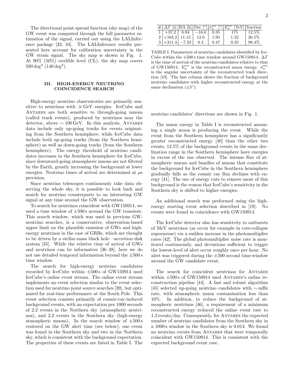The directional point spread function (sky map) of the GW event was computed through the full parameter estimation of the signal, carried out using the LALInference package [33, 34]. The LALInference results presented here account for calibration uncertainty in the GW strain signal. The sky map is shown in Fig. 1. At 90% (50%) credible level (CL), the sky map covers  $590 \text{ deg}^2 (140 \text{ deg}^2).$ 

### III. HIGH-ENERGY NEUTRINO COINCIDENCE SEARCH

High-energy neutrino observatories are primarily sensitive to neutrinos with  $\gg$  GeV energies. IceCube and ANTARES are both sensitive to through-going muons (called track events), produced by neutrinos near the detector, above  $\sim 100 \,\text{GeV}$ . In this analysis, ANTARES data include only up-going tracks for events originating from the Southern hemisphere, while IceCube data include both up-going tracks (from the Northern hemisphere) as well as down-going tracks (from the Southern hemisphere). The energy threshold of neutrino candidates increases in the Southern hemisphere for IceCube, since downward-going atmospheric muons are not filtered by the Earth, greatly increasing the background at lower energies. Neutrino times of arrival are determined at  $\mu$ s precision.

Since neutrino telescopes continuously take data observing the whole sky, it is possible to look back and search for neutrino counterparts to an interesting GW signal at any time around the GW observation.

To search for neutrinos coincident with GW150914, we used a time window of  $\pm 500$  s around the GW transient. This search window, which was used in previous GWneutrino searches, is a conservative, observation-based upper limit on the plausible emission of GWs and highenergy neutrinos in the case of GRBs, which are thought to be driven by a stellar-mass black hole—accretion disk system [35]. While the relative time of arrival of GWs and neutrinos can be informative [36–38], here we do not use detailed temporal information beyond the  $\pm 500 \text{ s}$ time window.

The search for high-energy neutrino candidates recorded by IceCube within  $\pm 500$  s of GW150914 used IceCube's online event stream. The online event stream implements an event selection similar to the event selection used for neutrino point source searches [39], but optimized for real-time performance at the South Pole. This event selection consists primarily of cosmic-ray-induced background events, with an expectation per 1000 seconds of 2.2 events in the Northern sky (atmospheric neutrinos), and 2.2 events in the Southern sky (high-energy atmospheric muons). In the search window of  $\pm 500 \text{ s}$ centered on the GW alert time (see below), one event was found in the Southern sky and two in the Northern sky, which is consistent with the background expectation. The properties of these events are listed in Table I. The

|                            |                |      | # $\Delta T$ [s] RA [h] Dec [°] $\sigma_u^{\text{rec}}$ [°] $E_u^{\text{rec}}$ [TeV] fraction |          |
|----------------------------|----------------|------|-----------------------------------------------------------------------------------------------|----------|
| $1 + 37.2 + 8.84$          | $-16.6$   0.35 |      | 175                                                                                           | $12.5\%$ |
| $2 \mid +163.2 \mid 11.13$ | 12.0           | 1.95 | 1.22                                                                                          | $26.5\%$ |
| $3 + 311.4 - 7.23$         | 8.4            | 0.47 | 0.33                                                                                          | 98.4%    |

TABLE I. Parameters of neutrino candidates identified by Ice-Cube within the  $\pm 500$  s time window around GW150914.  $\Delta T$ is the time of arrival of the neutrino candidates relative to that of GW150914. E<sup>rec</sup> is the reconstructed muon energy.  $\sigma_{\mu}^{\text{rec}}$ is the angular uncertainty of the reconstructed track direction [43]. The last column shows the fraction of background neutrino candidates with higher reconstructed energy at the same declination  $(\pm 5^{\circ})$ .

neutrino candidates' directions are shown in Fig. 1.

The muon energy in Table I is reconstructed assuming a single muon is producing the event. While the event from the Southern hemisphere has a significantly greater reconstructed energy [40] than the other two events, 12.5% of the background events in the same declination range in the Southern hemisphere have energies in excess of the one observed. The intense flux of atmospheric muons and bundles of muons that constitute the background for IceCube in the Southern hemisphere gradually falls as the cosmic ray flux declines with energy [41]. The use of energy cuts to remove most of this background is the reason that IceCube's sensitivity in the Southern sky is shifted to higher energies.

An additional search was performed using the highenergy starting event selection described in [19]. No events were found in coincidence with GW150914.

The IceCube detector also has sensitivity to outbursts of MeV neutrinos (as occur for example in core-collapse supernovae) via a sudden increase in the photomultiplier rates [42]. The global photomultiplier noise rate is monitored continuously, and deviations sufficient to trigger the lowest-level of alert occur roughly once per hour. No alert was triggered during the  $\pm 500$  second time-window around the GW candidate event.

The search for coincident neutrinos for Antares within  $\pm 500$  s of GW150914 used ANTARES's online reconstruction pipeline [44]. A fast and robust algorithm [45] selected up-going neutrino candidates with ∼ mHz rate, with atmospheric muon contamination less than 10%. In addition, to reduce the background of atmospheric neutrinos [46], a requirement of a minimum reconstructed energy reduced the online event rate to 1.2 events/day. Consequently, for Antares the expected number of neutrino candidates from the Southern sky in a 1000 s window in the Southern sky is 0.014. We found no neutrino events from ANTARES that were temporally coincident with GW150914. This is consistent with the expected background event rate.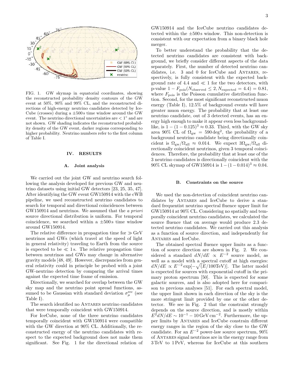

FIG. 1. GW skymap in equatorial coordinates, showing the reconstructed probability density contours of the GW event at 50%, 90% and 99% CL, and the reconstructed directions of high-energy neutrino candidates detected by Ice-Cube (crosses) during a  $\pm 500$  s time window around the GW event. The neutrino directional uncertainties are  $\lt 1^{\circ}$  and are not shown. GW shading indicates the reconstructed probability density of the GW event, darker regions corresponding to higher probability. Neutrino numbers refer to the first column of Table I.

#### IV. RESULTS

#### A. Joint analysis

We carried out the joint GW and neutrino search following the analysis developed for previous GW and neutrino datasets using initial GW detectors [23, 25, 35, 47]. After identifying the GW event GW150914 with the cWB pipeline, we used reconstructed neutrino candidates to search for temporal and directional coincidences between GW150914 and neutrinos. We assumed that the a priori source directional distribution is uniform. For temporal coincidence, we searched within a  $\pm 500 \text{ s}$  time window around GW150914.

The relative difference in propagation time for  $\gg$  GeV neutrinos and GWs (which travel at the speed of light in general relativity) traveling to Earth from the source is expected to be  $\ll 1$  s. The relative propagation time between neutrinos and GWs may change in alternative gravity models [48, 49]. However, discrepancies from general relativity could in principle be probed with a joint GW-neutrino detection by comparing the arrival times against the expected time frame of emission.

Directionally, we searched for overlap between the GW sky map and the neutrino point spread functions, assumed to be Gaussian with standard deviation  $\sigma_\mu^{\rm rec}$  (see Table I).

The search identified no ANTARES neutrino candidates that were temporally coincident with GW150914.

For IceCube, none of the three neutrino candidates temporally coincident with GW150914 were compatible with the GW direction at 90% CL. Additionally, the reconstructed energy of the neutrino candidates with respect to the expected background does not make them significant. See Fig. 1 for the directional relation of

GW150914 and the IceCube neutrino candidates detected within the  $\pm 500 \text{ s}$  window. This non-detection is consistent with our expectation from a binary black hole merger.

To better understand the probability that the detected neutrino candidates are consistent with background, we briefly consider different aspects of the data separately. First, the number of detected neutrino candidates, i.e. 3 and 0 for IceCube and ANTARES, respectively, is fully consistent with the expected background rate of 4.4 and  $\ll 1$  for the two detectors, with p-value  $1 - F_{\text{pois}}(N_{\text{observed}} \leq 2, N_{\text{expected}} = 4.4) = 0.81$ , where  $F_{\text{pois}}$  is the Poisson cumulative distribution function. Second, for the most significant reconstructed muon energy (Table I), 12.5% of background events will have greater muon energy. The probability that at least one neutrino candidate, out of 3 detected events, has an energy high enough to make it appear even less backgroundlike, is  $1 - (1 - 0.125)^3 \approx 0.33$ . Third, with the GW sky area 90% CL of  $\Omega_{\rm gw} = 590 \deg^2$ , the probability of a background neutrino candidate being directionally coincident is  $\Omega_{\rm gw}/\Omega_{\rm all} \approx 0.014$ . We expect  $3\Omega_{\rm gw}/\Omega_{\rm all}$  directionally coincident neutrinos, given 3 temporal coincidences. Therefore, the probability that at least one of the 3 neutrino candidates is directionally coincident with the 90% CL skymap of GW150914 is  $1-(1-0.014)^3 \approx 0.04$ .

#### B. Constraints on the source

We used the non-detection of coincident neutrino candidates by ANTARES and IceCube to derive a standard frequentist neutrino spectral fluence upper limit for GW150914 at 90% CL. Considering no spatially and temporally coincident neutrino candidates, we calculated the source fluence that on average would produce 2.3 detected neutrino candidates. We carried out this analysis as a function of source direction, and independently for ANTARES and IceCube.

The obtained spectral fluence upper limits as a function of source direction are shown in Fig. 2. We considered a standard  $dN/dE \propto E^{-2}$  source model, as well as a model with a spectral cutoff at high energies:  $dN/dE \propto E^{-2} \exp[-\sqrt{(E/100 \text{TeV})}]$ . The latter model is expected for sources with exponential cutoff in the primary proton spectrum [50]. This is expected for some galactic sources, and is also adopted here for comparison to previous analyses [51]. For each spectral model, the upper limit shown in each direction of the sky is the more stringent limit provided by one or the other detector. We see in Fig. 2 that the constraint strongly depends on the source direction, and is mostly within  $E^2 dN/dE \sim 10^{-1} - 10 \,\text{GeV} \,\text{cm}^{-2}$ . Furthermore, the upper limits by Antares and IceCube constrain different energy ranges in the region of the sky close to the GW candidate. For an  $E^{-2}$  power-law source spectrum, 90% of Antares signal neutrinos are in the energy range from 3 TeV to 1 PeV, whereas for IceCube at this southern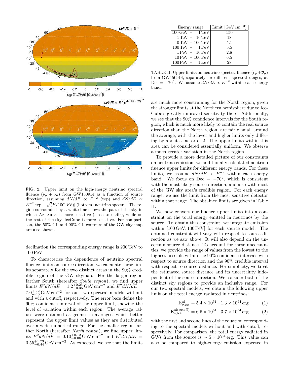

 $log(E^2dN/dE$  [GeVcm<sup>-2</sup>]) FIG. 2. Upper limit on the high-energy neutrino spectral fluence  $(\nu_{\mu} + \overline{\nu}_{\mu})$  from GW150914 as a function of source direction, assuming  $dN/dE \propto E^{-2}$  (top) and  $dN/dE \propto \frac{E}{L}$  $E^{-2} \exp[-\sqrt{(E/100 \text{TeV})}]$  (bottom) neutrino spectra. The region surrounded by a white line shows the part of the sky in which ANTARES is more sensitive (close to nadir), while on the rest of the sky, IceCube is more sensitive. For comparison, the 50% CL and 90% CL contours of the GW sky map

declination the corresponding energy range is 200 TeV to 100 PeV.

are also shown.

To characterize the dependence of neutrino spectral fluence limits on source direction, we calculate these limits separately for the two distinct areas in the 90% credible region of the GW skymap. For the larger region farther South (hereafter South region), we find upper limits  $E^2 dN/dE = 1.2^{+0.25}_{-0.36} \text{ GeV cm}^{-2}$  and  $E^2 dN/dE =$  $7.0^{+3.2}_{-2.0}$  GeV cm<sup>-2</sup> for our two spectral models without and with a cutoff, respectively. The error bars define the 90% confidence interval of the upper limit, showing the level of variation within each region. The average values were obtained as geometric averages, which better represent the upper limit values as they are distributed over a wide numerical range. For the smaller region farther North (hereafter North region), we find upper limits  $E^2 dN/dE = 0.10^{+0.12}_{-0.06} \text{ GeV cm}^{-2}$  and  $E^2 dN/dE =$  $0.55^{+1.79}_{-0.44}$  GeV cm<sup>-2</sup>. As expected, we see that the limits

| Energy range                             | Limit $\left[GeV \, \text{cm}^{-2}\right]$ |  |
|------------------------------------------|--------------------------------------------|--|
| $100 \text{ GeV} - 1 \text{ TeV}$        | 150                                        |  |
| $1 \text{TeV} - 10 \text{TeV}$           | -18                                        |  |
| $10 \,\mathrm{TeV} - 100 \,\mathrm{TeV}$ | 5.1                                        |  |
| $100 \,\mathrm{TeV} - 1 \,\mathrm{PeV}$  | 5.5                                        |  |
| $1 \,\text{PeV} - 10 \,\text{PeV}$       | 2.8                                        |  |
| $10 \,\text{PeV} - 100 \,\text{PeV}$     | 6.5                                        |  |
| $100 \,\text{PeV}$ - 1 EeV               | 28                                         |  |

TABLE II. Upper limits on neutrino spectral fluence  $(\nu_{\mu}+\overline{\nu}_{\mu})$ from GW150914, separately for different spectral ranges, at Dec = -70°. We assume  $\ddot{d}N/dE \propto E^{-2}$  within each energy band.

are much more constraining for the North region, given the stronger limits at the Northern hemisphere due to Ice-Cube's greatly improved sensitivity there. Additionally, we see that the 90% confidence intervals for the South region, which is much more likely to contain the real source direction than the North region, are fairly small around the average, with the lower and higher limits only differing by about a factor of 2. The upper limits within this area can be considered essentially uniform. We observe a much greater variation in the North region.

To provide a more detailed picture of our constraints on neutrino emission, we additionally calculated neutrino fluence upper limits for different energy bands. For these limits, we assume  $dN/dE \propto E^{-2}$  within each energy band. We focus on Dec =  $-70^{\circ}$ , which is consistent with the most likely source direction, and also with most of the GW sky area's credible region. For each energy range, we use the limit from the most sensitive detector within that range. The obtained limits are given in Table II.

We now convert our fluence upper limits into a constraint on the total energy emitted in neutrinos by the source. To obtain this constraint, we integrate emission within [100 GeV, 100 PeV] for each source model. The obtained constraint will vary with respect to source direction as we saw above. It will also depend on the uncertain source distance. To account for these uncertainties, we provide the range of values from the lowest to the highest possible within the  $90\%$  confidence intervals with respect to source direction and the 90% credible interval with respect to source distance. For simplicity, we treat the estimated source distance and its uncertainty independent of the source direction. We consider both of the distinct sky regions to provide an inclusive range. For our two spectral models, we obtain the following upper limit on the total energy radiated in neutrinos:

$$
E_{\nu, tot}^{ul} = 5.4 \times 10^{51} - 1.3 \times 10^{54} \text{ erg} \tag{1}
$$

$$
E_{\nu, tot}^{ul(cutoff)} = 6.6 \times 10^{51} - 3.7 \times 10^{54} \text{ erg}
$$
 (2)

with the first and second lines of the equation corresponding to the spectral models without and with cutoff, respectively. For comparison, the total energy radiated in GWs from the source is  $\sim 5 \times 10^{54}$  erg. This value can also be compared to high-energy emission expected in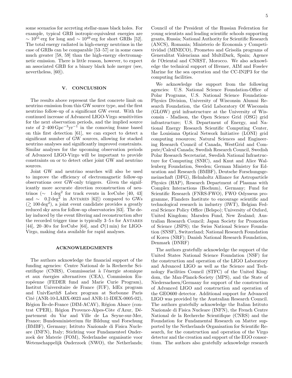some scenarios for accreting stellar-mass black holes. For example, typical GRB isotropic-equivalent energies are  $\sim 10^{51}$  erg for long and  $\sim 10^{49}$  erg for short GRBs [52]. The total energy radiated in high-energy neutrinos in the case of GRBs can be comparable [53–57] or in some cases much greater [58, 59] than the high-energy electromagnetic emission. There is little reason, however, to expect an associated GRB for a binary black hole merger (see, nevertheless, [60]).

#### V. CONCLUSION

The results above represent the first concrete limit on neutrino emission from this GW source type, and the first neutrino follow-up of a significant GW event. With the continued increase of Advanced LIGO-Virgo sensitivities for the next observation periods, and the implied source rate of  $2-400 \,\text{Gpc}^{-3}\text{yr}^{-1}$  in the comoving frame based on this first detection [61], we can expect to detect a significant number of GW sources, allowing for stacked neutrino analyses and significantly improved constraints. Similar analyses for the upcoming observation periods of Advanced LIGO-Virgo will be important to provide constraints on or to detect other joint GW and neutrino sources.

Joint GW and neutrino searches will also be used to improve the efficiency of electromagnetic follow-up observations over GW-only triggers. Given the significantly more accurate direction reconstruction of neutrinos ( $\sim$  1 deg<sup>2</sup> for track events in IceCube [40, 43] and  $\sim$  0.2 deg<sup>2</sup> in ANTARES [62]) compared to GWs  $(\gtrsim 100 \text{ deg}^2)$ , a joint event candidate provides a greatly reduced sky area for follow-up observatories [63]. The delay induced by the event filtering and reconstruction after the recorded trigger time is typically 3–5 s for Antares [44], 20–30 s for IceCube [64], and  $\mathcal{O}(1 \text{ min})$  for LIGO-Virgo, making data available for rapid analyses.

#### ACKNOWLEDGMENTS

The authors acknowledge the financial support of the funding agencies: Centre National de la Recherche Scientifique (CNRS), Commissariat à l'énergie atomique et aux énergies alternatives (CEA), Commission Européenne (FEDER fund and Marie Curie Program), Institut Universitaire de France (IUF), IdEx program and UnivEarthS Labex program at Sorbonne Paris Cité (ANR-10-LABX-0023 and ANR-11-IDEX-0005-02), Région Île-de-France (DIM-ACAV), Région Alsace (contrat CPER), Région Provence-Alpes-Côte d'Azur, Département du Var and Ville de La Seyne-sur-Mer, France; Bundesministerium für Bildung und Forschung (BMBF), Germany; Istituto Nazionale di Fisica Nucleare (INFN), Italy; Stichting voor Fundamenteel Onderzoek der Materie (FOM), Nederlandse organisatie voor Wetenschappelijk Onderzoek (NWO), the Netherlands;

Council of the President of the Russian Federation for young scientists and leading scientific schools supporting grants, Russia; National Authority for Scientific Research (ANCS), Romania; Ministerio de Economía y Competitividad (MINECO), Prometeo and Grisolía programs of Generalitat Valenciana and MultiDark, Spain; Agence de l'Oriental and CNRST, Morocco. We also acknowledge the technical support of Ifremer, AIM and Foselev Marine for the sea operation and the CC-IN2P3 for the computing facilities.

We acknowledge the support from the following agencies: U.S. National Science Foundation-Office of Polar Programs, U.S. National Science Foundation-Physics Division, University of Wisconsin Alumni Research Foundation, the Grid Laboratory Of Wisconsin (GLOW) grid infrastructure at the University of Wisconsin - Madison, the Open Science Grid (OSG) grid infrastructure; U.S. Department of Energy, and National Energy Research Scientific Computing Center, the Louisiana Optical Network Initiative (LONI) grid computing resources; Natural Sciences and Engineering Research Council of Canada, WestGrid and Compute/Calcul Canada; Swedish Research Council, Swedish Polar Research Secretariat, Swedish National Infrastructure for Computing (SNIC), and Knut and Alice Wallenberg Foundation, Sweden; German Ministry for Education and Research (BMBF), Deutsche Forschungsgemeinschaft (DFG), Helmholtz Alliance for Astroparticle Physics (HAP), Research Department of Plasmas with Complex Interactions (Bochum), Germany; Fund for Scientific Research (FNRS-FWO), FWO Odysseus programme, Flanders Institute to encourage scientific and technological research in industry (IWT), Belgian Federal Science Policy Office (Belspo); University of Oxford, United Kingdom; Marsden Fund, New Zealand; Australian Research Council; Japan Society for Promotion of Science (JSPS); the Swiss National Science Foundation (SNSF), Switzerland; National Research Foundation of Korea (NRF); Danish National Research Foundation, Denmark (DNRF)

The authors gratefully acknowledge the support of the United States National Science Foundation (NSF) for the construction and operation of the LIGO Laboratory and Advanced LIGO as well as the Science and Technology Facilities Council (STFC) of the United Kingdom, the Max-Planck-Society (MPS), and the State of Niedersachsen/Germany for support of the construction of Advanced LIGO and construction and operation of the GEO600 detector. Additional support for Advanced LIGO was provided by the Australian Research Council. The authors gratefully acknowledge the Italian Istituto Nazionale di Fisica Nucleare (INFN), the French Centre National de la Recherche Scientifique (CNRS) and the Foundation for Fundamental Research on Matter supported by the Netherlands Organisation for Scientific Research, for the construction and operation of the Virgo detector and the creation and support of the EGO consortium. The authors also gratefully acknowledge research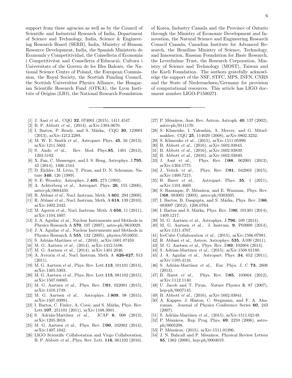support from these agencies as well as by the Council of Scientific and Industrial Research of India, Department of Science and Technology, India, Science & Engineering Research Board (SERB), India, Ministry of Human Resource Development, India, the Spanish Ministerio de Economía y Competitividad, the Conselleria d'Economia i Competitivitat and Conselleria d'Educació, Cultura i Universitats of the Govern de les Illes Balears, the National Science Centre of Poland, the European Commission, the Royal Society, the Scottish Funding Council, the Scottish Universities Physics Alliance, the Hungarian Scientific Research Fund (OTKA), the Lyon Institute of Origins (LIO), the National Research Foundation

- [1] J. Aasi et al., CQG **32**, 074001 (2015), 1411.4547.
- [2] B. P. Abbott et al., (2013), arXiv:1304.0670.
- [3] I. Bartos, P. Brady, and S. Márka, CQG 30, 123001 (2013), arXiv:1212.2289.
- [4] M. W. E. Smith et al., Astropart. Phys. 45, 56 (2013), arXiv:1211.5602.<br>[5] S. Ando *et al.*,
- Rev. Mod. Phys.85, 1401 (2013), 1203.5192.
- [6] X. Fan, C. Messenger, and I. S. Heng, Astrophys. J.795, 43 (2014), 1406.1544.
- [7] D. Eichler, M. Livio, T. Piran, and D. N. Schramm, Nature 340, 126 (1989).
- [8] S. E. Woosley, Astrophys. J.405, 273 (1993).
- [9] A. Achterberg *et al.*, Astropart. Phys. **26**, 155 (2006), astro-ph/0604450.
- [10] R. Abbasi et al., Nucl. Instrum. Meth. A **601**, 294 (2009).
- [11] R. Abbasi *et al.*, Nucl. Instrum. Meth. A **618**, 139 (2010), arXiv:1002.2442.
- [12] M. Ageron *et al.*, Nucl. Instrum. Meth. A **656**, 11 (2011), arXiv:1104.1607.
- [13] J. A. Aguilar et al., Nuclear Instruments and Methods in Physics Research A 570, 107 (2007), astro-ph/0610029.
- [14] J. A. Aguilar et al., Nuclear Instruments and Methods in Physics Research A 555, 132 (2005), physics/0510031.
- [15] S. Adrián-Martínez et al.,  $(2016)$ , arXiv:1601.07459.
- [16] M. G. Aartsen et al., (2014), arXiv:1412.5106.
- [17] M. G. Aartsen *et al.*, (2014), arXiv:1401.2046.
- [18] A. Avrorin et al., Nucl. Instrum. Meth. A 626-627, S13 (2011).
- [19] M. G. Aartsen et al., Phys. Rev. Lett. **113**, 101101 (2014), arXiv:1405.5303.
- [20] M. G. Aartsen et al., Phys. Rev. Lett.115, 081102 (2015), arXiv:1507.04005.
- [21] M. G. Aartsen et al., Phys. Rev. D91, 022001 (2015), arXiv:1410.1749.
- [22] M. G. Aartsen et al., Astrophys. J.809, 98 (2015), arXiv:1507.03991.
- [23] I. Bartos, C. Finley, A. Corsi, and S. Márka, Phys. Rev. Lett.107, 251101 (2011), arXiv:1108.3001.
- [24] S. Adrián-Martínez et al., JCAP 6, 008 (2013), arXiv:1205.3018.
- [25] M. G. Aartsen et al., Phys. Rev. D90, 102002 (2014), arXiv:1407.1042.
- [26] LIGO Scientific Collaboration and Virgo Collaboration, B. P. Abbott et al., Phys. Rev. Lett. 116, 061102 (2016).

[27] P. Mészáros, Ann. Rev. Astron. Astroph. 40, 137 (2002), astro-ph/0111170.

of Korea, Industry Canada and the Province of Ontario through the Ministry of Economic Development and Innovation, the Natural Science and Engineering Research Council Canada, Canadian Institute for Advanced Research, the Brazilian Ministry of Science, Technology, and Innovation, Russian Foundation for Basic Research, the Leverhulme Trust, the Research Corporation, Ministry of Science and Technology (MOST), Taiwan and the Kavli Foundation. The authors gratefully acknowledge the support of the NSF, STFC, MPS, INFN, CNRS and the State of Niedersachsen/Germany for provision of computational resources. This article has LIGO doc-

- [28] S. Klimenko, I. Yakushin, A. Mercer, and G. Mitselmakher, CQG 25, 114029 (2008), arXiv:0802.3232.
- [29] S. Klimenko et al., (2015), arXiv:1511.05999.
- [30] B. Abbott *et al.*, (2016), arXiv:1602.03843.

ument number LIGO-P1500271.

- [31] B. Abbott *et al.*, (2016), arXiv:1602.03839.
- [32] B. Abbott et al., (2016), arXiv:1602.03840.
- [33] J. Aasi et al., Phys. Rev. D88, 062001 (2013), arXiv:1304.1775.
- [34] J. Veitch et al., Phys. Rev. D91, 042003 (2015), arXiv:1409.7215.
- [35] B. Baret et al., Astropart. Phys. **35**, 1 (2011), arXiv:1101.4669.
- [36] S. Razzaque, P. Mészáros, and E. Waxman, Phys. Rev. D68, 083001 (2003), astro-ph/0303505.
- [37] I. Bartos, B. Dasgupta, and S. Márka, Phys. Rev. D86, 083007 (2012), 1206.0764.
- [38] I. Bartos and S. Márka, Phys. Rev. D90, 101301 (2014), 1409.1217.
- [39] M. G. Aartsen et al., Astrophys. J.796, 109 (2014).
- [40] M. G. Aartsen et al., J. Instrum. 9, P03009 (2014), arXiv:1311.4767.
- [41] IceCube Collaboration et al., (2015), arXiv:1506.07981.
- [42] R. Abbasi *et al.*, Astron. Astrophys. **535**, A109 (2011).
- [43] M. G. Aartsen *et al.*, Phys. Rev. D89, 102004 (2014).
- [44] S. Adrian-Martinez *et al.*, (2015), arXiv:1508.01180.
- [45] J. A. Aguilar *et al.*, Astropart. Phys. **34**, 652 (2011), arXiv:1105.4116.
- [46] S. Adrián-Martínez et al., Eur. Phys. J. C  $73$ , 2606 (2013).
- [47] B. Baret et al., Phys. Rev. D85, 103004 (2012), arXiv:1112.1140.
- [48] U. Jacob and T. Piran, Nature Physics 3, 87 (2007), hep-ph/0607145.
- [49] B. Abbott et al., (2016), arXiv:1602.03841.
- [50] A. Kappes, J. Hinton, C. Stegmann, and F. A. Aharonian, Journal of Physics Conference Series 60, 243 (2007).
- [51] S. Adrián-Martínez et al.,  $(2015)$ , arXiv:1511.02149.
- [52] P. Mészáros, Rep. Prog. Phys. 69, 2259 (2006), astroph/0605208.
- [53] P. Mészáros, (2015), arXiv:1511.01396.
- [54] J. N. Bahcall and P. Mészáros, Physical Review Letters 85, 1362 (2000), hep-ph/0004019.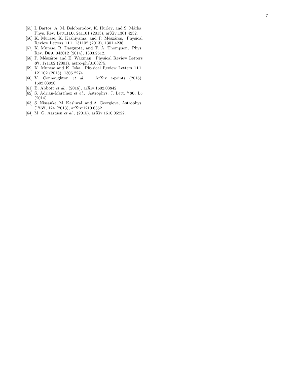- [55] I. Bartos, A. M. Beloborodov, K. Hurley, and S. Márka, Phys. Rev. Lett.110, 241101 (2013), arXiv:1301.4232.
- [56] K. Murase, K. Kashiyama, and P. Mészáros, Physical Review Letters 111, 131102 (2013), 1301.4236.
- [57] K. Murase, B. Dasgupta, and T. A. Thompson, Phys. Rev. D89, 043012 (2014), 1303.2612.
- [58] P. Mészáros and E. Waxman, Physical Review Letters 87, 171102 (2001), astro-ph/0103275.
- [59] K. Murase and K. Ioka, Physical Review Letters 111, 121102 (2013), 1306.2274.
- [60] V. Connaughton et al., ArXiv e-prints (2016), 1602.03920.
- [61] B. Abbott et al., (2016), arXiv:1602.03842.
- [62] S. Adrián-Martínez et al., Astrophys. J. Lett. 786, L5 (2014).
- [63] S. Nissanke, M. Kasliwal, and A. Georgieva, Astrophys. J.767, 124 (2013), arXiv:1210.6362.
- [64] M. G. Aartsen et al., (2015), arXiv:1510.05222.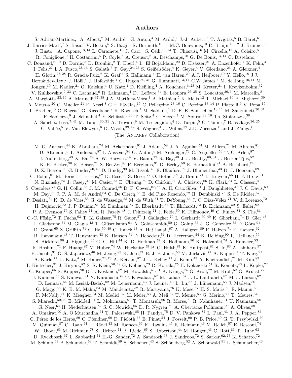## Authors

S. Adrián-Martínez,<sup>1</sup> A. Albert,<sup>2</sup> M. André,<sup>3</sup> G. Anton,<sup>4</sup> M. Ardid,<sup>1</sup> J.-J. Aubert,<sup>5</sup> T. Avgitas,<sup>6</sup> B. Baret,<sup>6</sup> J. Barrios-Martí,<sup>7</sup> S. Basa,<sup>8</sup> V. Bertin,<sup>5</sup> S. Biagi,<sup>9</sup> R. Bormuth,<sup>10, 11</sup> M.C. Bouwhuis,<sup>10</sup> R. Bruijn,<sup>10, 12</sup> J. Brunner,<sup>5</sup> J. Busto,<sup>5</sup> A. Capone,<sup>13, 14</sup> L. Caramete,<sup>15</sup> J. Carr,<sup>5</sup> S. Celli,<sup>13, 14</sup> T. Chiarusi,<sup>16</sup> M. Circella,<sup>17</sup> A. Coleiro,<sup>6</sup> R. Coniglione,<sup>9</sup> H. Costantini,<sup>5</sup> P. Coyle,<sup>5</sup> A. Creusot,<sup>6</sup> A. Deschamps,<sup>18</sup> G. De Bonis,<sup>13,14</sup> C. Distefano,<sup>9</sup> C. Donzaud, <sup>6, 19</sup> D. Dornic, <sup>5</sup> D. Drouhin, <sup>2</sup> T. Eberl, <sup>4</sup> I. El Bojaddaini, <sup>20</sup> D. Elsässer, <sup>21</sup> A. Enzenhöfer, <sup>4</sup> K. Fehn, <sup>4</sup> I. Felis,<sup>22</sup> L.A. Fusco,<sup>23, 16</sup> S. Galatà,<sup>6</sup> P. Gay,<sup>24, 25</sup> S. Geißelsöder,<sup>4</sup> K. Geyer,<sup>4</sup> V. Giordano,<sup>26</sup> A. Gleixner,<sup>4</sup> H. Glotin,  $27,28$  R. Gracia-Ruiz, <sup>6</sup> K. Graf, <sup>4</sup> S. Hallmann, <sup>4</sup> H. van Haren, <sup>29</sup> A.J. Heijboer, <sup>10</sup> Y. Hello, <sup>18</sup> J.J. Hernández-Rey,<sup>7</sup> J. Hößl,<sup>4</sup> J. Hofestädt,<sup>4</sup> C. Hugon,<sup>30, 31</sup> G. Illuminati,<sup>13, 14</sup> C.W James,<sup>4</sup> M. de Jong,<sup>10, 11</sup> M. Jongen,<sup>10</sup> M. Kadler,<sup>21</sup> O. Kalekin,<sup>4</sup> U. Katz,<sup>4</sup> D. Kießling,<sup>4</sup> A. Kouchner,<sup>6, 28</sup> M. Kreter,<sup>21</sup> I. Kreykenbohm,<sup>32</sup> V. Kulikovskiy,  $9,33$  C. Lachaud,  $6$  R. Lahmann,  $4$  D. Lefèvre,  $34$  E. Leonora,  $26,35$  S. Loucatos,  $36,6$  M. Marcelin,  $8$ A. Margiotta,<sup>23, 16</sup> A. Marinelli,<sup>37, 38</sup> J.A. Martínez-Mora,<sup>1</sup> A. Mathieu,<sup>5</sup> K. Melis,<sup>12</sup> T. Michael,<sup>10</sup> P. Migliozzi,<sup>39</sup> A. Moussa,<sup>20</sup> C. Mueller,<sup>21</sup> E. Nezri,<sup>8</sup> G.E. Păvălaș,<sup>15</sup> C. Pellegrino,<sup>23, 16</sup> C. Perrina,<sup>13, 14</sup> P. Piattelli,<sup>9</sup> V. Popa,<sup>15</sup> T. Pradier,<sup>40</sup> C. Racca,<sup>2</sup> G. Riccobene,<sup>9</sup> K. Roensch,<sup>4</sup> M. Saldaña,<sup>1</sup> D. F. E. Samtleben,<sup>10, 11</sup> M. Sanguineti,<sup>30, 31</sup> P. Sapienza,<sup>9</sup> J. Schnabel,<sup>4</sup> F. Schüssler,<sup>36</sup> T. Seitz,<sup>4</sup> C. Sieger,<sup>4</sup> M. Spurio,<sup>23, 16</sup> Th. Stolarczyk,<sup>36</sup> A. Sánchez-Losa,<sup>7, 41</sup> M. Taiuti,<sup>30, 31</sup> A. Trovato,<sup>9</sup> M. Tselengidou,<sup>4</sup> D. Turpin,<sup>5</sup> C. Tönnis,<sup>7</sup> B. Vallage,<sup>36, 25</sup> C. Vallée,<sup>5</sup> V. Van Elewyck,<sup>6</sup> D. Vivolo,<sup>39, 42</sup> S. Wagner,<sup>4</sup> J. Wilms,<sup>32</sup> J.D. Zornoza,<sup>7</sup> and J. Zúñiga<sup>7</sup> (The Antares Collaboration) M. G. Aartsen,  $^{44}$  K. Abraham,  $^{74}$  M. Ackermann,  $^{91}$  J. Adams,  $^{58}$  J. A. Aguilar,  $^{54}$  M. Ahlers,  $^{71}$  M. Ahrens,  $^{81}$ D. Altmann,<sup>4</sup> T. Anderson,<sup>87</sup> I. Ansseau,<sup>54</sup> G. Anton,<sup>4</sup> M. Archinger,<sup>72</sup> C. Arguelles,<sup>56</sup> T. C. Arlen,<sup>87</sup> J. Auffenberg,<sup>43</sup> X. Bai,<sup>79</sup> S. W. Barwick,<sup>68</sup> V. Baum,<sup>72</sup> R. Bay,<sup>49</sup> J. J. Beatty,<sup>60, 61</sup> J. Becker Tjus,<sup>52</sup> K.-H. Becker, <sup>90</sup> E. Beiser, <sup>71</sup> S. BenZvi, <sup>88</sup> P. Berghaus, <sup>91</sup> D. Berley, <sup>59</sup> E. Bernardini, <sup>91</sup> A. Bernhard, <sup>74</sup> D. Z. Besson, <sup>69</sup> G. Binder, <sup>50, 49</sup> D. Bindig, <sup>90</sup> M. Bissok, <sup>43</sup> E. Blaufuss, <sup>59</sup> J. Blumenthal, <sup>43</sup> D. J. Boersma, <sup>89</sup> C. Bohm, <sup>81</sup> M. Börner, <sup>63</sup> F. Bos, <sup>52</sup> D. Bose, <sup>83</sup> S. Böser, <sup>72</sup> O. Botner, <sup>89</sup> J. Braun, <sup>71</sup> L. Brayeur, <sup>55</sup> H.-P. Bretz, <sup>91</sup> N. Buzinsky, <sup>65</sup> J. Casey, <sup>47</sup> M. Casier, <sup>55</sup> E. Cheung, <sup>59</sup> D. Chirkin, <sup>71</sup> A. Christov, <sup>66</sup> K. Clark, <sup>84</sup> L. Classen, <sup>4</sup> S. Coenders,<sup>74</sup> G. H. Collin,<sup>56</sup> J. M. Conrad,<sup>56</sup> D. F. Cowen,<sup>87, 86</sup> A. H. Cruz Silva,<sup>91</sup> J. Daughhetee,<sup>47</sup> J. C. Davis,<sup>60</sup> M. Day,<sup>71</sup> J. P. A. M. de André,<sup>64</sup> C. De Clercq,<sup>55</sup> E. del Pino Rosendo,<sup>72</sup> H. Dembinski,<sup>75</sup> S. De Ridder,<sup>67</sup> P. Desiati,<sup>71</sup> K. D. de Vries,<sup>55</sup> G. de Wasseige,<sup>55</sup> M. de With,<sup>51</sup> T. DeYoung,<sup>64</sup> J. C. Díaz-Vélez,<sup>71</sup> V. di Lorenzo,<sup>72</sup> H. Dujmovic, <sup>83</sup> J. P. Dumm, <sup>81</sup> M. Dunkman, <sup>87</sup> B. Eberhardt, <sup>72</sup> T. Ehrhardt, <sup>72</sup> B. Eichmann, <sup>52</sup> S. Euler, <sup>89</sup> P. A. Evenson,<sup>75</sup> S. Fahey,<sup>71</sup> A. R. Fazely,<sup>48</sup> J. Feintzeig,<sup>71</sup> J. Felde,<sup>59</sup> K. Filimonov,<sup>49</sup> C. Finley,<sup>81</sup> S. Flis,<sup>81</sup> C.-C. Fösig,<sup>72</sup> T. Fuchs,<sup>63</sup> T. K. Gaisser,<sup>75</sup> R. Gaior,<sup>57</sup> J. Gallagher,<sup>70</sup> L. Gerhardt,<sup>50,49</sup> K. Ghorbani,<sup>71</sup> D. Gier,<sup>43</sup> L. Gladstone,<sup>71</sup> M. Glagla,<sup>43</sup> T. Glüsenkamp,<sup>91</sup> A. Goldschmidt,<sup>50</sup> G. Golup,<sup>55</sup> J. G. Gonzalez,<sup>75</sup> D. Góra,<sup>91</sup> D. Grant,<sup>65</sup> Z. Griffith,<sup>71</sup> C. Ha,<sup>50,49</sup> C. Haack,<sup>43</sup> A. Haj Ismail,<sup>67</sup> A. Hallgren,<sup>89</sup> F. Halzen,<sup>71</sup> E. Hansen,<sup>62</sup> B. Hansmann,<sup>43</sup> T. Hansmann,<sup>43</sup> K. Hanson,<sup>71</sup> D. Hebecker,<sup>51</sup> D. Heereman,<sup>54</sup> K. Helbing,<sup>90</sup> R. Hellauer,<sup>59</sup> S. Hickford,<sup>90</sup> J. Hignight,<sup>64</sup> G. C. Hill,<sup>44</sup> K. D. Hoffman,<sup>59</sup> R. Hoffmann,<sup>90</sup> K. Holzapfel,<sup>74</sup> A. Homeier,<sup>53</sup> K. Hoshina,<sup>71</sup> F. Huang,<sup>87</sup> M. Huber,<sup>74</sup> W. Huelsnitz,<sup>59</sup> P. O. Hulth,<sup>81</sup> K. Hultqvist,<sup>81</sup> S. In,<sup>83</sup> A. Ishihara,<sup>57</sup> E. Jacobi, <sup>91</sup> G. S. Japaridze, <sup>46</sup> M. Jeong, <sup>83</sup> K. Jero, <sup>71</sup> B. J. P. Jones, <sup>56</sup> M. Jurkovic, <sup>74</sup> A. Kappes, <sup>4</sup> T. Karg, <sup>91</sup> A. Karle,<sup>71</sup> U. Katz,<sup>4</sup> M. Kauer,<sup>71, 76</sup> A. Keivani,<sup>87</sup> J. L. Kelley,<sup>71</sup> J. Kemp,<sup>43</sup> A. Kheirandish,<sup>71</sup> M. Kim,<sup>83</sup> T. Kintscher,<sup>91</sup> J. Kiryluk,<sup>82</sup> S. R. Klein,<sup>50, 49</sup> G. Kohnen,<sup>73</sup> R. Koirala,<sup>75</sup> H. Kolanoski,<sup>51</sup> R. Konietz,<sup>43</sup> L. Köpke,<sup>72</sup> C. Kopper,<sup>65</sup> S. Kopper,<sup>90</sup> D. J. Koskinen,<sup>62</sup> M. Kowalski,<sup>51, 91</sup> K. Krings,<sup>74</sup> G. Kroll,<sup>72</sup> M. Kroll,<sup>52</sup> G. Krückl,<sup>72</sup> J. Kunnen,  $55 S.$  Kunwar,  $91 N.$  Kurahashi,  $78 T.$  Kuwabara,  $57 M.$  Labare,  $67 J.$  L. Lanfranchi,  $87 M.$  J. Larson,  $62$ D. Lennarz, <sup>64</sup> M. Lesiak-Bzdak, <sup>82</sup> M. Leuermann, <sup>43</sup> J. Leuner, <sup>43</sup> L. Lu, <sup>57</sup> J. Lünemann, <sup>55</sup> J. Madsen, <sup>80</sup> G. Maggi,<sup>55</sup> K. B. M. Mahn,<sup>64</sup> M. Mandelartz,<sup>52</sup> R. Maruyama,<sup>76</sup> K. Mase,<sup>57</sup> H. S. Matis,<sup>50</sup> R. Maunu,<sup>59</sup> F. McNally,<sup>71</sup> K. Meagher,<sup>54</sup> M. Medici,<sup>62</sup> M. Meier,<sup>63</sup> A. Meli,<sup>67</sup> T. Menne,<sup>63</sup> G. Merino,<sup>71</sup> T. Meures,<sup>54</sup> S. Miarecki,  $50, 49$  E. Middell,  $91$  L. Mohrmann,  $91$  T. Montaruli,  $66$  R. Morse,  $71$  R. Nahnhauer,  $91$  U. Naumann,  $90$ G. Neer, <sup>64</sup> H. Niederhausen, <sup>82</sup> S. C. Nowicki, <sup>65</sup> D. R. Nygren, <sup>50</sup> A. Obertacke Pollmann, <sup>90</sup> A. Olivas, <sup>59</sup> A. Omairat,<sup>90</sup> A. O'Murchadha,<sup>54</sup> T. Palczewski,<sup>85</sup> H. Pandya,<sup>75</sup> D. V. Pankova,<sup>87</sup> L. Paul,<sup>43</sup> J. A. Pepper,<sup>85</sup> C. Pérez de los Heros,  $89$  C. Pfendner,  $60$  D. Pieloth,  $63$  E. Pinat,  $54$  J. Posselt,  $90$  P. B. Price,  $49$  G. T. Przybylski,  $50$ M. Quinnan,<sup>87</sup> C. Raab,<sup>54</sup> L. Rädel,<sup>43</sup> M. Rameez,<sup>66</sup> K. Rawlins,<sup>45</sup> R. Reimann,<sup>43</sup> M. Relich,<sup>57</sup> E. Resconi,<sup>74</sup> W. Rhode,<sup>63</sup> M. Richman,<sup>78</sup> S. Richter,<sup>71</sup> B. Riedel,<sup>65</sup> S. Robertson,<sup>44</sup> M. Rongen,<sup>43</sup> C. Rott,<sup>83</sup> T. Ruhe,<sup>63</sup> D. Ryckbosch,<sup>67</sup> L. Sabbatini,<sup>71</sup> H.-G. Sander,<sup>72</sup> A. Sandrock,<sup>63</sup> J. Sandroos,<sup>72</sup> S. Sarkar,<sup>62,77</sup> K. Schatto,<sup>72</sup> M. Schimp,<sup>43</sup> P. Schlunder,<sup>63</sup> T. Schmidt,<sup>59</sup> S. Schoenen,<sup>43</sup> S. Schöneberg,<sup>52</sup> A. Schönwald,<sup>91</sup> L. Schumacher,<sup>43</sup>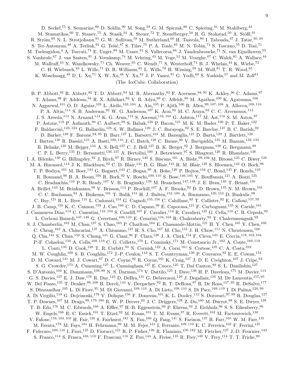D. Seckel,<sup>75</sup> S. Seunarine,<sup>80</sup> D. Soldin,<sup>90</sup> M. Song,<sup>59</sup> G. M. Spiczak,<sup>80</sup> C. Spiering,<sup>91</sup> M. Stahlberg,<sup>43</sup> M. Stamatikos,<sup>60</sup> T. Stanev,<sup>75</sup> A. Stasik,<sup>91</sup> A. Steuer,<sup>72</sup> T. Stezelberger,<sup>50</sup> R. G. Stokstad,<sup>50</sup> A. Stößl,<sup>91</sup> R. Ström,<sup>89</sup> N. L. Strotjohann,<sup>91</sup> G. W. Sullivan,<sup>59</sup> M. Sutherland,<sup>60</sup> H. Taavola,<sup>89</sup> I. Taboada,<sup>47</sup> J. Tatar,<sup>50,49</sup> S. Ter-Antonyan,<sup>48</sup> A. Terliuk,<sup>91</sup> G. Tešić,<sup>87</sup> S. Tilav,<sup>75</sup> P. A. Toale,<sup>85</sup> M. N. Tobin,<sup>71</sup> S. Toscano,<sup>55</sup> D. Tosi,<sup>71</sup> M. Tselengidou,<sup>4</sup> A. Turcati,<sup>74</sup> E. Unger,<sup>89</sup> M. Usner,<sup>91</sup> S. Vallecorsa,<sup>66</sup> J. Vandenbroucke,<sup>71</sup> N. van Eijndhoven,<sup>55</sup> S. Vanheule,<sup>67</sup> J. van Santen,<sup>91</sup> J. Veenkamp,<sup>74</sup> M. Vehring,<sup>43</sup> M. Voge,<sup>53</sup> M. Vraeghe,<sup>67</sup> C. Walck,<sup>81</sup> A. Wallace,<sup>44</sup> M. Wallraff,<sup>43</sup> N. Wandkowsky,<sup>71</sup> Ch. Weaver,<sup>65</sup> C. Wendt,<sup>71</sup> S. Westerhoff,<sup>71</sup> B. J. Whelan,<sup>44</sup> K. Wiebe,<sup>72</sup> C. H. Wiebusch,<sup>43</sup> L. Wille,<sup>71</sup> D. R. Williams,<sup>85</sup> L. Wills,<sup>78</sup> H. Wissing,<sup>59</sup> M. Wolf,<sup>81</sup> T. R. Wood,<sup>65</sup> K. Woschnagg,<sup>49</sup> D. L. Xu,<sup>71</sup> X. W. Xu,<sup>48</sup> Y. Xu,<sup>82</sup> J. P. Yanez,<sup>91</sup> G. Yodh,<sup>68</sup> S. Yoshida,<sup>57</sup> and M. Zoll<sup>81</sup> (The IceCube Collaboration)

B. P. Abbott, <sup>92</sup> R. Abbott, <sup>92</sup> T. D. Abbott, <sup>93</sup> M. R. Abernathy, <sup>92</sup> F. Acernese, <sup>94, 95</sup> K. Ackley, <sup>96</sup> C. Adams, <sup>97</sup> T. Adams,<sup>98</sup> P. Addesso,<sup>94</sup> R. X. Adhikari,<sup>92</sup> V. B. Adya,<sup>99</sup> C. Affeldt,<sup>99</sup> M. Agathos,<sup>100</sup> K. Agatsuma,<sup>100</sup> N. Aggarwal,<sup>101</sup> O. D. Aguiar,<sup>102</sup> L. Aiello,103, 104 A. Ain,<sup>105</sup> P. Ajith,<sup>106</sup> B. Allen,99, 107, 108 A. Allocca,109, 110 P. A. Altin,<sup>111</sup> S. B. Anderson,<sup>92</sup> W. G. Anderson,<sup>107</sup> K. Arai,<sup>92</sup> M. C. Araya,<sup>92</sup> C. C. Arceneaux,<sup>112</sup> J. S. Areeda,<sup>113</sup> N. Arnaud,<sup>114</sup> K. G. Arun,<sup>115</sup> S. Ascenzi,<sup>116,104</sup> G. Ashton,<sup>117</sup> M. Ast,<sup>118</sup> S. M. Aston,<sup>97</sup> P. Astone,<sup>119</sup> P. Aufmuth,<sup>99</sup> C. Aulbert,<sup>99</sup> S. Babak,<sup>120</sup> P. Bacon,<sup>121</sup> M. K. M. Bader,<sup>100</sup> P. T. Baker,<sup>122</sup> F. Baldaccini,123, 124 G. Ballardin,<sup>125</sup> S. W. Ballmer,<sup>126</sup> J. C. Barayoga,<sup>92</sup> S. E. Barclay,<sup>127</sup> B. C. Barish,<sup>92</sup> D. Barker,<sup>128</sup> F. Barone,<sup>94, 95</sup> B. Barr,<sup>127</sup> L. Barsotti,<sup>101</sup> M. Barsuglia,<sup>121</sup> D. Barta,<sup>129</sup> J. Bartlett,<sup>128</sup> I. Bartos,<sup>130</sup> R. Bassiri,<sup>131</sup> A. Basti,<sup>109,110</sup> J. C. Batch,<sup>128</sup> C. Baune,<sup>99</sup> V. Bavigadda,<sup>125</sup> M. Bazzan,<sup>132,133</sup> B. Behnke,<sup>120</sup> M. Bejger,<sup>134</sup> A. S. Bell,<sup>127</sup> C. J. Bell,<sup>127</sup> B. K. Berger,<sup>92</sup> J. Bergman,<sup>128</sup> G. Bergmann,<sup>99</sup> C. P. L. Berry,<sup>135</sup> D. Bersanetti,<sup>136, 137</sup> A. Bertolini,<sup>100</sup> J. Betzwieser,<sup>97</sup> S. Bhagwat,<sup>126</sup> R. Bhandare,<sup>138</sup> I. A. Bilenko,<sup>139</sup> G. Billingsley,<sup>92</sup> J. Birch,<sup>97</sup> R. Birney,<sup>140</sup> S. Biscans,<sup>101</sup> A. Bisht,<sup>99, 108</sup> M. Bitossi,<sup>125</sup> C. Biwer,<sup>126</sup> M. A. Bizouard,<sup>114</sup> J. K. Blackburn,<sup>92</sup> C. D. Blair,<sup>141</sup> D. G. Blair,<sup>141</sup> R. M. Blair,<sup>128</sup> S. Bloemen,<sup>142</sup> O. Bock,<sup>99</sup> T. P. Bodiya,<sup>101</sup> M. Boer,<sup>143</sup> G. Bogaert,<sup>143</sup> C. Bogan,<sup>99</sup> A. Bohe,<sup>120</sup> P. Bojtos,<sup>144</sup> C. Bond,<sup>135</sup> F. Bondu,<sup>145</sup> R. Bonnand, <sup>98</sup> B. A. Boom, <sup>100</sup> R. Bork, <sup>92</sup> V. Boschi, <sup>109, 110</sup> S. Bose, <sup>146, 105</sup> Y. Bouffanais, <sup>121</sup> A. Bozzi, <sup>125</sup> C. Bradaschia,<sup>110</sup> P. R. Brady,<sup>107</sup> V. B. Braginsky,<sup>139</sup> M. Branchesi,147, 148 J. E. Brau,<sup>149</sup> T. Briant,<sup>150</sup> A. Brillet,<sup>143</sup> M. Brinkmann,<sup>99</sup> V. Brisson,<sup>114</sup> P. Brockill,<sup>107</sup> A. F. Brooks,<sup>92</sup> D. D. Brown,<sup>135</sup> N. M. Brown,<sup>101</sup> C. C. Buchanan, <sup>93</sup> A. Buikema, <sup>101</sup> T. Bulik, <sup>151</sup> H. J. Bulten, <sup>152, 100</sup> A. Buonanno, <sup>120, 153</sup> D. Buskulic, <sup>98</sup> C. Buy,<sup>121</sup> R. L. Byer,<sup>131</sup> L. Cadonati,<sup>154</sup> G. Cagnoli,<sup>155, 156</sup> C. Cahillane,<sup>92</sup> T. Callister,<sup>92</sup> E. Calloni,<sup>157, 95</sup> J. B. Camp,<sup>158</sup> K. C. Cannon,<sup>159</sup> J. Cao,<sup>160</sup> C. D. Capano,<sup>99</sup> E. Capocasa,<sup>121</sup> F. Carbognani,<sup>125</sup> S. Caride,<sup>161</sup> J. Casanueva Diaz,<sup>114</sup> C. Casentini,<sup>116, 104</sup> S. Caudill,<sup>107</sup> F. Cavalier,<sup>114</sup> R. Cavalieri,<sup>125</sup> G. Cella,<sup>110</sup> C. B. Cepeda,<sup>92</sup> L. Cerboni Baiardi,<sup>147, 148</sup> G. Cerretani,<sup>109, 110</sup> E. Cesarini,<sup>116, 104</sup> R. Chakraborty,<sup>92</sup> T. Chalermsongsak,<sup>92</sup> S. J. Chamberlin,<sup>162</sup> M. Chan,<sup>127</sup> S. Chao,<sup>163</sup> P. Charlton,<sup>164</sup> E. Chassande-Mottin,<sup>121</sup> H. Y. Chen,<sup>165</sup> Y. Chen,<sup>166</sup> C. Cheng,<sup>163</sup> A. Chincarini,<sup>137</sup> A. Chiummo,<sup>125</sup> H. S. Cho,<sup>167</sup> M. Cho,<sup>153</sup> J. H. Chow,<sup>111</sup> N. Christensen,<sup>168</sup> Q. Chu,<sup>141</sup> S. Chua,<sup>150</sup> S. Chung,<sup>141</sup> G. Ciani,<sup>96</sup> F. Clara,<sup>128</sup> J. A. Clark,<sup>154</sup> F. Cleva,<sup>143</sup> E. Coccia,116, 103, 104 P.-F. Cohadon,<sup>150</sup> A. Colla,<sup>169, 119</sup> C. G. Collette,<sup>170</sup> L. Cominsky,<sup>171</sup> M. Constancio Jr.,<sup>102</sup> A. Conte,<sup>169, 119</sup> L. Conti,<sup>133</sup> D. Cook,<sup>128</sup> T. R. Corbitt,<sup>93</sup> N. Cornish,<sup>122</sup> A. Corsi,<sup>161</sup> S. Cortese,<sup>125</sup> C. A. Costa,<sup>102</sup> M. W. Coughlin,<sup>168</sup> S. B. Coughlin,<sup>172</sup> J.-P. Coulon,<sup>143</sup> S. T. Countryman,<sup>130</sup> P. Couvares,<sup>92</sup> E. E. Cowan,<sup>154</sup> D. M. Coward,<sup>141</sup> M. J. Cowart,<sup>97</sup> D. C. Coyne,<sup>92</sup> R. Coyne,<sup>161</sup> K. Craig,<sup>127</sup> J. D. E. Creighton,<sup>107</sup> J. Cripe,<sup>93</sup> S. G. Crowder,<sup>173</sup> A. Cumming,<sup>127</sup> L. Cunningham,<sup>127</sup> E. Cuoco,<sup>125</sup> T. Dal Canton,<sup>99</sup> S. L. Danilishin,<sup>127</sup> S. D'Antonio,<sup>104</sup> K. Danzmann,<sup>108, 99</sup> N. S. Darman,<sup>174</sup> V. Dattilo,<sup>125</sup> I. Dave,<sup>138</sup> H. P. Daveloza,<sup>175</sup> M. Davier,<sup>114</sup> G. S. Davies,<sup>127</sup> E. J. Daw,<sup>176</sup> R. Day,<sup>125</sup> D. DeBra,<sup>131</sup> G. Debreczeni,<sup>129</sup> J. Degallaix,<sup>156</sup> M. De Laurentis,<sup>157,95</sup> W. Del Pozzo,<sup>135</sup> T. Denker,<sup>99, 108</sup> H. Dereli,<sup>143</sup> V. Dergachev,<sup>92</sup> R. T. DeRosa,<sup>97</sup> R. De Rosa,<sup>157, 95</sup> R. DeSalvo,<sup>177</sup> S. Dhurandhar,  $^{105}$  L. Di Fiore,  $^{95}$  M. Di Giovanni,  $^{169, 119}$  A. Di Lieto,  $^{109, 110}$  S. Di Pace,  $^{169, 119}$  I. Di Palma,  $^{120, 99}$ A. Di Virgilio,<sup>110</sup> G. Dojcinoski,<sup>178</sup> V. Dolique,<sup>156</sup> F. Donovan,<sup>101</sup> K. L. Dooley,<sup>112</sup> S. Doravari,<sup>97,99</sup> R. Douglas,<sup>127</sup> T. P. Downes,<sup>107</sup> M. Drago,99, 179, 180 R. W. P. Drever,<sup>92</sup> J. C. Driggers,<sup>128</sup> Z. Du,<sup>160</sup> M. Ducrot,<sup>98</sup> S. E. Dwyer,<sup>128</sup> T. B. Edo,<sup>176</sup> M. C. Edwards,<sup>168</sup> A. Effler,<sup>97</sup> H.-B. Eggenstein,<sup>99</sup> P. Ehrens,<sup>92</sup> J. Eichholz,<sup>96</sup> S. S. Eikenberry,<sup>96</sup> W. Engels,<sup>166</sup> R. C. Essick,<sup>101</sup> T. Etzel,<sup>92</sup> M. Evans,<sup>101</sup> T. M. Evans,<sup>97</sup> R. Everett,<sup>162</sup> M. Factourovich,<sup>130</sup> V. Fafone,<sup>116, 104, 103</sup> H. Fair,<sup>126</sup> S. Fairhurst,<sup>181</sup> X. Fan,<sup>160</sup> Q. Fang,<sup>141</sup> S. Farinon,<sup>137</sup> B. Farr,<sup>165</sup> W. M. Farr,<sup>135</sup> M. Favata,<sup>178</sup> M. Fays,<sup>181</sup> H. Fehrmann,<sup>99</sup> M. M. Fejer,<sup>131</sup> I. Ferrante,109, 110 E. C. Ferreira,<sup>102</sup> F. Ferrini,<sup>125</sup> F. Fidecaro,<sup>109, 110</sup> I. Fiori,<sup>125</sup> D. Fiorucci,<sup>121</sup> R. P. Fisher,<sup>126</sup> R. Flaminio,<sup>156, 182</sup> M. Fletcher,<sup>127</sup> J.-D. Fournier,<sup>143</sup> S. Franco,<sup>114</sup> S. Frasca,<sup>169, 119</sup> F. Frasconi,<sup>110</sup> Z. Frei,<sup>144</sup> A. Freise,<sup>135</sup> R. Frey,<sup>149</sup> V. Frey,<sup>114</sup> T. T. Fricke,<sup>99</sup>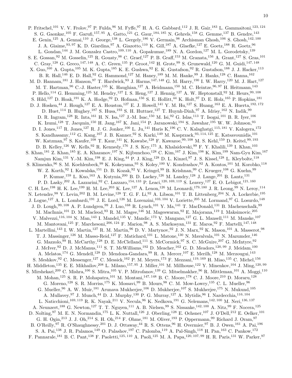P. Fritschel,<sup>101</sup> V. V. Frolov,<sup>97</sup> P. Fulda,<sup>96</sup> M. Fyffe,<sup>97</sup> H. A. G. Gabbard,<sup>112</sup> J. R. Gair,<sup>183</sup> L. Gammaitoni,<sup>123, 124</sup> S. G. Gaonkar, <sup>105</sup> F. Garufi, <sup>157, 95</sup> A. Gatto, <sup>121</sup> G. Gaur, <sup>184, 185</sup> N. Gehrels, <sup>158</sup> G. Gemme, <sup>137</sup> B. Gendre, <sup>143</sup> E. Genin,<sup>125</sup> A. Gennai,<sup>110</sup> J. George,<sup>138</sup> L. Gergely,<sup>186</sup> V. Germain,<sup>98</sup> Archisman Ghosh,<sup>106</sup> S. Ghosh,<sup>142,100</sup> J. A. Giaime,  $93, 97$  K. D. Giardina,  $97$  A. Giazotto,  $^{110}$  K. Gill,  $^{187}$  A. Glaefke,  $^{127}$  E. Goetz,  $^{188}$  R. Goetz,  $^{96}$ L. Gondan,<sup>144</sup> J. M. Gonzalez Castro,<sup>109, 110</sup> A. Gopakumar,<sup>189</sup> N. A. Gordon,<sup>127</sup> M. L. Gorodetsky,<sup>139</sup> S. E. Gossan,<sup>92</sup> M. Gosselin,<sup>125</sup> R. Gouaty,<sup>98</sup> C. Graef,<sup>127</sup> P. B. Graff,<sup>153</sup> M. Granata,<sup>156</sup> A. Grant,<sup>127</sup> S. Gras,<sup>101</sup> C. Gray,<sup>128</sup> G. Greco,<sup>147, 148</sup> A. C. Green,<sup>135</sup> P. Groot,<sup>142</sup> H. Grote,<sup>99</sup> S. Grunewald,<sup>120</sup> G. M. Guidi,<sup>147, 148</sup> X. Guo,<sup>160</sup> A. Gupta,<sup>105</sup> M. K. Gupta,<sup>185</sup> K. E. Gushwa,<sup>92</sup> E. K. Gustafson,<sup>92</sup> R. Gustafson,<sup>188</sup> J. J. Hacker,<sup>113</sup> B. R. Hall,<sup>146</sup> E. D. Hall,<sup>92</sup> G. Hammond,<sup>127</sup> M. Haney,<sup>189</sup> M. M. Hanke,<sup>99</sup> J. Hanks,<sup>128</sup> C. Hanna,<sup>162</sup> M. D. Hannam,<sup>181</sup> J. Hanson,<sup>97</sup> T. Hardwick,<sup>93</sup> J. Harms,<sup>147, 148</sup> G. M. Harry,<sup>190</sup> I. W. Harry,<sup>120</sup> M. J. Hart,<sup>127</sup> M. T. Hartman,  $96$  C.-J. Haster,  $135$  K. Haughian,  $127$  A. Heidmann,  $150$  M. C. Heintze,  $96, 97$  H. Heitmann,  $143$ P. Hello,<sup>114</sup> G. Hemming,<sup>125</sup> M. Hendry,<sup>127</sup> I. S. Heng,<sup>127</sup> J. Hennig,<sup>127</sup> A. W. Heptonstall,<sup>92</sup> M. Heurs,<sup>99, 108</sup> S. Hild,<sup>127</sup> D. Hoak,<sup>191</sup> K. A. Hodge,<sup>92</sup> D. Hofman,<sup>156</sup> S. E. Hollitt,<sup>44</sup> K. Holt,<sup>97</sup> D. E. Holz,<sup>165</sup> P. Hopkins,<sup>181</sup> D. J. Hosken,<sup>44</sup> J. Hough,<sup>127</sup> E. A. Houston,<sup>127</sup> E. J. Howell,<sup>141</sup> Y. M. Hu,<sup>127</sup> S. Huang,<sup>163</sup> E. A. Huerta,<sup>192, 172</sup> D. Huet,<sup>114</sup> B. Hughey,<sup>187</sup> S. Husa,<sup>193</sup> S. H. Huttner,<sup>127</sup> T. Huynh-Dinh,<sup>97</sup> A. Idrisy,<sup>162</sup> N. Indik,<sup>99</sup> D. R. Ingram,<sup>128</sup> R. Inta,<sup>161</sup> H. N. Isa,<sup>127</sup> J.-M. Isac,<sup>150</sup> M. Isi,<sup>92</sup> G. Islas,<sup>113</sup> T. Isogai,<sup>101</sup> B. R. Iyer,<sup>106</sup> K. Izumi,<sup>128</sup> T. Jacqmin,<sup>150</sup> H. Jang,<sup>167</sup> K. Jani,<sup>154</sup> P. Jaranowski,<sup>194</sup> S. Jawahar,<sup>195</sup> W. W. Johnson,<sup>93</sup> D. I. Jones,<sup>117</sup> R. Jones,<sup>127</sup> R. J. G. Jonker,<sup>100</sup> L. Ju,<sup>141</sup> Haris K,<sup>196</sup> C. V. Kalaghatgi,<sup>115, 181</sup> V. Kalogera,<sup>172</sup> S. Kandhasamy,<sup>112</sup> G. Kang,<sup>167</sup> J. B. Kanner,<sup>92</sup> S. Karki,<sup>149</sup> M. Kasprzack,<sup>93, 114, 125</sup> E. Katsavounidis,<sup>101</sup> W. Katzman, <sup>97</sup> S. Kaufer, <sup>108</sup> T. Kaur, <sup>141</sup> K. Kawabe, <sup>128</sup> F. Kawazoe, <sup>99, 108</sup> M. S. Kehl, <sup>159</sup> D. Keitel, <sup>99, 193</sup> D. B. Kelley,<sup>126</sup> W. Kells,<sup>92</sup> R. Kennedy,<sup>176</sup> J. S. Key,<sup>175</sup> A. Khalaidovski,<sup>99</sup> F. Y. Khalili,<sup>139</sup> I. Khan,<sup>103</sup> S. Khan,<sup>181</sup> Z. Khan,<sup>185</sup> E. A. Khazanov,<sup>197</sup> N. Kijbunchoo,<sup>128</sup> C. Kim,<sup>167</sup> J. Kim,<sup>198</sup> K. Kim,<sup>199</sup> Nam-Gyu Kim,<sup>167</sup> Namjun Kim, <sup>131</sup> Y.-M. Kim, <sup>198</sup> E. J. King, <sup>44</sup> P. J. King, <sup>128</sup> D. L. Kinzel, <sup>97</sup> J. S. Kissel, <sup>128</sup> L. Kleybolte, <sup>118</sup> S. Klimenko, 96 S. M. Koehlenbeck, 99 K. Kokeyama, 93 S. Koley, <sup>100</sup> V. Kondrashov, <sup>92</sup> A. Kontos, <sup>101</sup> M. Korobko, <sup>118</sup> W. Z. Korth,<sup>92</sup> I. Kowalska,<sup>151</sup> D. B. Kozak,<sup>92</sup> V. Kringel,<sup>99</sup> B. Krishnan,<sup>99</sup> C. Krueger,<sup>108</sup> G. Kuehn,<sup>99</sup> P. Kumar,<sup>159</sup> L. Kuo,<sup>163</sup> A. Kutynia,<sup>200</sup> B. D. Lackey,<sup>126</sup> M. Landry,<sup>128</sup> J. Lange,<sup>201</sup> B. Lantz,<sup>131</sup> P. D. Lasky,<sup>202</sup> A. Lazzarini,<sup>92</sup> C. Lazzaro,<sup>154, 133</sup> P. Leaci,<sup>120, 169, 119</sup> S. Leavey,<sup>127</sup> E. O. Lebigot,<sup>121, 160</sup> C. H. Lee,<sup>198</sup> H. K. Lee,<sup>199</sup> H. M. Lee,<sup>203</sup> K. Lee,<sup>127</sup> A. Lenon,<sup>126</sup> M. Leonardi,<sup>179, 180</sup> J. R. Leong,<sup>99</sup> N. Leroy,<sup>114</sup> N. Letendre, <sup>98</sup> Y. Levin, <sup>202</sup> B. M. Levine, <sup>128</sup> T. G. F. Li, <sup>92</sup> A. Libson, <sup>101</sup> T. B. Littenberg, <sup>204</sup> N. A. Lockerbie, <sup>195</sup> J. Logue,<sup>127</sup> A. L. Lombardi,<sup>191</sup> J. E. Lord,<sup>126</sup> M. Lorenzini,103, 104 V. Loriette,<sup>205</sup> M. Lormand,<sup>97</sup> G. Losurdo,<sup>148</sup> J. D. Lough, <sup>99, 108</sup> A. P. Lundgren, <sup>99</sup> J. Luo, <sup>168</sup> R. Lynch, <sup>101</sup> Y. Ma, <sup>141</sup> T. MacDonald, <sup>131</sup> B. Machenschalk, <sup>99</sup> M. MacInnis,<sup>101</sup> D. M. Macleod,<sup>93</sup> R. M. Magee,<sup>146</sup> M. Mageswaran,<sup>92</sup> E. Majorana,<sup>119</sup> I. Maksimovic,<sup>205</sup> V. Malvezzi,<sup>116, 104</sup> N. Man,<sup>143</sup> I. Mandel,<sup>135</sup> V. Mandic,<sup>173</sup> V. Mangano,<sup>127</sup> G. L. Mansell,<sup>111</sup> M. Manske,<sup>107</sup> M. Mantovani,<sup>125</sup> F. Marchesoni,206, 124 F. Marion,<sup>98</sup> A. S. Markosyan,<sup>131</sup> E. Maros,<sup>92</sup> F. Martelli,147, 148 L. Martellini,<sup>143</sup> I. W. Martin,<sup>127</sup> R. M. Martin,<sup>96</sup> D. V. Martynov,<sup>92</sup> J. N. Marx,<sup>92</sup> K. Mason,<sup>101</sup> A. Masserot,<sup>98</sup> T. J. Massinger,<sup>126</sup> M. Masso-Reid,<sup>127</sup> F. Matichard,<sup>101</sup> L. Matone,<sup>130</sup> N. Mavalvala,<sup>101</sup> N. Mazumder,<sup>146</sup> G. Mazzolo,<sup>99</sup> R. McCarthy,<sup>128</sup> D. E. McClelland,<sup>111</sup> S. McCormick,<sup>97</sup> S. C. McGuire,<sup>207</sup> G. McIntyre,<sup>92</sup> J. McIver, <sup>92</sup> D. J. McManus, <sup>111</sup> S. T. McWilliams, <sup>192</sup> D. Meacher, <sup>162</sup> G. D. Meadors, <sup>120, 99</sup> J. Meidam, <sup>100</sup> A. Melatos, <sup>174</sup> G. Mendell, <sup>128</sup> D. Mendoza-Gandara, <sup>99</sup> R. A. Mercer, <sup>107</sup> E. Merilh, <sup>128</sup> M. Merzougui, <sup>143</sup> S. Meshkov,<sup>92</sup> C. Messenger,<sup>127</sup> C. Messick,<sup>162</sup> P. M. Meyers,<sup>173</sup> F. Mezzani,<sup>119, 169</sup> H. Miao,<sup>135</sup> C. Michel,<sup>156</sup> H. Middleton,<sup>135</sup> E. E. Mikhailov,<sup>208</sup> L. Milano,<sup>157,95</sup> J. Miller,<sup>101</sup> M. Millhouse,<sup>122</sup> Y. Minenkov,<sup>104</sup> J. Ming,<sup>120,99</sup> S. Mirshekari,<sup>209</sup> C. Mishra,<sup>106</sup> S. Mitra,<sup>105</sup> V. P. Mitrofanov,<sup>139</sup> G. Mitselmakher,<sup>96</sup> R. Mittleman,<sup>101</sup> A. Moggi,<sup>110</sup> M. Mohan,<sup>125</sup> S. R. P. Mohapatra,<sup>101</sup> M. Montani,147, 148 B. C. Moore,<sup>178</sup> C. J. Moore,<sup>210</sup> D. Moraru,<sup>128</sup> G. Moreno,<sup>128</sup> S. R. Morriss,<sup>175</sup> K. Mossavi,<sup>99</sup> B. Mours,<sup>98</sup> C. M. Mow-Lowry,<sup>135</sup> C. L. Mueller,<sup>96</sup> G. Mueller, <sup>96</sup> A. W. Muir, <sup>181</sup> Arunava Mukherjee, <sup>106</sup> D. Mukherjee, <sup>107</sup> S. Mukherjee, <sup>175</sup> N. Mukund, <sup>105</sup> A. Mullavey, <sup>97</sup> J. Munch, <sup>44</sup> D. J. Murphy, <sup>130</sup> P. G. Murray, <sup>127</sup> A. Mytidis, <sup>96</sup> I. Nardecchia, <sup>116, 104</sup> L. Naticchioni,<sup>169, 119</sup> R. K. Nayak,<sup>211</sup> V. Necula,<sup>96</sup> K. Nedkova,<sup>191</sup> G. Nelemans,<sup>142, 100</sup> M. Neri,<sup>136, 137</sup> A. Neunzert,<sup>188</sup> G. Newton,<sup>127</sup> T. T. Nguyen,<sup>111</sup> A. B. Nielsen,<sup>99</sup> S. Nissanke,<sup>142, 100</sup> A. Nitz,<sup>99</sup> F. Nocera,<sup>125</sup> D. Nolting,<sup>97</sup> M. E. N. Normandin,<sup>175</sup> L. K. Nuttall,<sup>126</sup> J. Oberling,<sup>128</sup> E. Ochsner,<sup>107</sup> J. O'Dell,<sup>212</sup> E. Oelker,<sup>101</sup> G. H. Ogin,<sup>213</sup> J. J. Oh,<sup>214</sup> S. H. Oh,<sup>214</sup> F. Ohme,<sup>181</sup> M. Oliver,<sup>193</sup> P. Oppermann,<sup>99</sup> Richard J. Oram,<sup>97</sup> B. O'Reilly, <sup>97</sup> R. O'Shaughnessy, <sup>201</sup> D. J. Ottaway, <sup>44</sup> R. S. Ottens, <sup>96</sup> H. Overmier, <sup>97</sup> B. J. Owen, <sup>161</sup> A. Pai, <sup>196</sup> S. A. Pai,<sup>138</sup> J. R. Palamos,<sup>149</sup> O. Palashov,<sup>197</sup> C. Palomba,<sup>119</sup> A. Pal-Singh,<sup>118</sup> H. Pan,<sup>163</sup> C. Pankow,<sup>172</sup> F. Pannarale,<sup>181</sup> B. C. Pant,<sup>138</sup> F. Paoletti,<sup>125,110</sup> A. Paoli,<sup>125</sup> M. A. Papa,<sup>120,107,99</sup> H. R. Paris,<sup>131</sup> W. Parker,<sup>97</sup>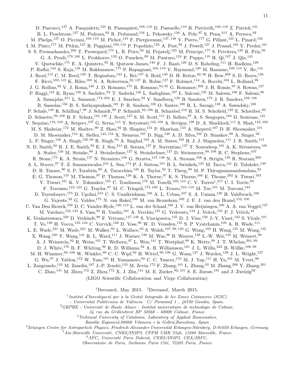D. Pascucci,<sup>127</sup> A. Pasqualetti,<sup>125</sup> R. Passaquieti,<sup>109,110</sup> D. Passuello,<sup>110</sup> B. Patricelli,<sup>109,110</sup> Z. Patrick,<sup>131</sup> B. L. Pearlstone,<sup>127</sup> M. Pedraza,<sup>92</sup> R. Pedurand,<sup>156</sup> L. Pekowsky,<sup>126</sup> A. Pele,<sup>97</sup> S. Penn,<sup>215</sup> A. Perreca,<sup>92</sup> M. Phelps,<sup>127</sup> O. Piccinni,<sup>169, 119</sup> M. Pichot,<sup>143</sup> F. Piergiovanni,<sup>147, 148</sup> V. Pierro,<sup>177</sup> G. Pillant,<sup>125</sup> L. Pinard,<sup>156</sup> I. M. Pinto,<sup>177</sup> M. Pitkin,<sup>127</sup> R. Poggiani,<sup>109,110</sup> P. Popolizio,<sup>125</sup> A. Post,<sup>99</sup> J. Powell,<sup>127</sup> J. Prasad,<sup>105</sup> V. Predoi,<sup>181</sup> S. S. Premachandra,<sup>202</sup> T. Prestegard,<sup>173</sup> L. R. Price,<sup>92</sup> M. Prijatelj,<sup>125</sup> M. Principe,<sup>177</sup> S. Privitera,<sup>120</sup> R. Prix,<sup>99</sup> G. A. Prodi, 179, 180 L. Prokhorov, <sup>139</sup> O. Puncken, <sup>99</sup> M. Punturo, <sup>124</sup> P. Puppo, <sup>119</sup> H. Qi, <sup>107</sup> J. Qin, <sup>141</sup> V. Quetschke,<sup>175</sup> E. A. Quintero,<sup>92</sup> R. Quitzow-James,<sup>149</sup> F. J. Raab,<sup>128</sup> D. S. Rabeling,<sup>111</sup> H. Radkins,<sup>128</sup> P. Raffai,<sup>144</sup> S. Raja,<sup>138</sup> M. Rakhmanov,<sup>175</sup> P. Rapagnani,<sup>169, 119</sup> V. Raymond,<sup>120</sup> M. Razzano,<sup>109, 110</sup> V. Re,<sup>116</sup> J. Read,<sup>113</sup> C. M. Reed,<sup>128</sup> T. Regimbau,<sup>143</sup> L. Rei,<sup>137</sup> S. Reid,<sup>140</sup> D. H. Reitze,<sup>92,96</sup> H. Rew,<sup>208</sup> S. D. Reyes,<sup>126</sup> F. Ricci,<sup>169, 119</sup> K. Riles,<sup>188</sup> N. A. Robertson,<sup>92, 127</sup> R. Robie,<sup>127</sup> F. Robinet,<sup>114</sup> A. Rocchi,<sup>104</sup> L. Rolland,<sup>98</sup> J. G. Rollins, <sup>92</sup> V. J. Roma, <sup>149</sup> J. D. Romano, <sup>175</sup> R. Romano, <sup>94, 95</sup> G. Romanov, <sup>208</sup> J. H. Romie, <sup>97</sup> S. Rowan, <sup>127</sup> P. Ruggi,<sup>125</sup> K. Ryan,<sup>128</sup> S. Sachdev,<sup>92</sup> T. Sadecki,<sup>128</sup> L. Sadeghian,<sup>107</sup> L. Salconi,<sup>125</sup> M. Saleem,<sup>196</sup> F. Salemi,<sup>99</sup> A. Samajdar,<sup>211</sup> L. Sammut,<sup>174, 202</sup> E. J. Sanchez,<sup>92</sup> V. Sandberg,<sup>128</sup> B. Sandeen,<sup>172</sup> J. R. Sanders,<sup>188, 126</sup> B. Sassolas,<sup>156</sup> B. S. Sathyaprakash,<sup>181</sup> P. R. Saulson,<sup>126</sup> O. Sauter,<sup>188</sup> R. L. Savage,<sup>128</sup> A. Sawadsky,<sup>108</sup> P. Schale,<sup>149</sup> R. Schilling<sup>†</sup>,<sup>99</sup> J. Schmidt,<sup>99</sup> P. Schmidt,<sup>92,166</sup> R. Schnabel,<sup>118</sup> R. M. S. Schofield,<sup>149</sup> E. Schreiber,<sup>99</sup> D. Schuette,99, 108 B. F. Schutz,181, 120 J. Scott,<sup>127</sup> S. M. Scott,<sup>111</sup> D. Sellers,<sup>97</sup> A. S. Sengupta,<sup>184</sup> D. Sentenac,<sup>125</sup> V. Sequino,116, 104 A. Sergeev,<sup>197</sup> G. Serna,<sup>113</sup> Y. Setyawati,142, 100 A. Sevigny,<sup>128</sup> D. A. Shaddock,<sup>111</sup> S. Shah,142, 100 M. S. Shahriar,<sup>172</sup> M. Shaltev,<sup>99</sup> Z. Shao,<sup>92</sup> B. Shapiro,<sup>131</sup> P. Shawhan,<sup>153</sup> A. Sheperd,<sup>107</sup> D. H. Shoemaker,<sup>101</sup> D. M. Shoemaker,<sup>154</sup> K. Siellez,<sup>143, 154</sup> X. Siemens,<sup>107</sup> D. Sigg,<sup>128</sup> A. D. Silva,<sup>102</sup> D. Simakov,<sup>99</sup> A. Singer,<sup>92</sup> L. P. Singer,<sup>158</sup> A. Singh,<sup>120,99</sup> R. Singh,<sup>93</sup> A. Singhal,<sup>103</sup> A. M. Sintes,<sup>193</sup> B. J. J. Slagmolen,<sup>111</sup> J. R. Smith,<sup>113</sup> N. D. Smith,<sup>92</sup> R. J. E. Smith,<sup>92</sup> E. J. Son,<sup>214</sup> B. Sorazu,<sup>127</sup> F. Sorrentino,<sup>137</sup> T. Souradeep,<sup>105</sup> A. K. Srivastava,<sup>185</sup> A. Staley,<sup>130</sup> M. Steinke,<sup>99</sup> J. Steinlechner,<sup>127</sup> S. Steinlechner,<sup>127</sup> D. Steinmeyer,<sup>99, 108</sup> B. C. Stephens,<sup>107</sup> R. Stone,<sup>175</sup> K. A. Strain,<sup>127</sup> N. Straniero,<sup>156</sup> G. Stratta,147, 148 N. A. Strauss,<sup>168</sup> S. Strigin,<sup>139</sup> R. Sturani,<sup>209</sup> A. L. Stuver, <sup>97</sup> T. Z. Summerscales, <sup>216</sup> L. Sun, <sup>174</sup> P. J. Sutton, <sup>181</sup> B. L. Swinkels, <sup>125</sup> M. Tacca, <sup>121</sup> D. Talukder, <sup>149</sup> D. B. Tanner, <sup>96</sup> S. P. Tarabrin, <sup>99</sup> A. Taracchini, <sup>120</sup> R. Taylor, <sup>92</sup> T. Theeg, <sup>99</sup> M. P. Thirugnanasambandam, <sup>92</sup> E. G. Thomas,<sup>135</sup> M. Thomas,<sup>97</sup> P. Thomas,<sup>128</sup> K. A. Thorne,<sup>97</sup> K. S. Thorne,<sup>166</sup> E. Thrane,<sup>202</sup> S. Tiwari,<sup>103</sup> V. Tiwari,<sup>181</sup> K. V. Tokmakov,<sup>195</sup> C. Tomlinson,<sup>176</sup> M. Tonelli,<sup>109,110</sup> C. V. Torres<sup>‡</sup>,<sup>217</sup> C. I. Torrie,<sup>92</sup> F. Travasso,<sup>123, 124</sup> G. Traylor,<sup>97</sup> M. C. Tringali,<sup>179, 180</sup> L. Trozzo,<sup>218, 110</sup> M. Tse,<sup>101</sup> M. Turconi,<sup>143</sup> D. Tuyenbayev,<sup>175</sup> D. Ugolini,<sup>219</sup> C. S. Unnikrishnan,<sup>189</sup> A. L. Urban,<sup>107</sup> S. A. Usman,<sup>126</sup> H. Vahlbruch,<sup>108</sup> G. Vajente, <sup>92</sup> G. Valdes, <sup>175</sup> N. van Bakel, <sup>100</sup> M. van Beuzekom, <sup>100</sup> J. F. J. van den Brand, <sup>152, 100</sup> C. Van Den Broeck,<sup>100</sup> D. C. Vander-Hyde,<sup>126, 113</sup> L. van der Schaaf,<sup>100</sup> J. V. van Heijningen,<sup>100</sup> A. A. van Veggel,<sup>127</sup> M. Vardaro,<sup>132, 133</sup> S. Vass,<sup>92</sup> R. Vaulin,<sup>101</sup> A. Vecchio,<sup>135</sup> G. Vedovato,<sup>133</sup> J. Veitch,<sup>135</sup> P. J. Veitch,<sup>44</sup> K. Venkateswara,<sup>220</sup> D. Verkindt,<sup>98</sup> F. Vetrano,<sup>147, 148</sup> S. Vinciguerra,<sup>135</sup> D. J. Vine,<sup>140</sup> J.-Y. Vinet,<sup>143</sup> S. Vitale,<sup>101</sup> T. Vo,<sup>126</sup> H. Vocca,<sup>123, 124</sup> C. Vorvick,<sup>128</sup> D. Voss,<sup>96</sup> W. D. Vousden,<sup>135</sup> S. P. Vyatchanin,<sup>139</sup> A. R. Wade,<sup>111</sup> L. E. Wade,<sup>221</sup> M. Wade,<sup>221</sup> M. Walker,<sup>93</sup> L. Wallace,<sup>92</sup> S. Walsh,<sup>107,99,120</sup> G. Wang,<sup>103</sup> H. Wang,<sup>135</sup> M. Wang,<sup>135</sup> X. Wang,<sup>160</sup> Y. Wang,<sup>141</sup> R. L. Ward,<sup>111</sup> J. Warner,<sup>128</sup> M. Was,<sup>98</sup> B. Weaver,<sup>128</sup> L.-W. Wei,<sup>143</sup> M. Weinert,<sup>99</sup> A. J. Weinstein, <sup>92</sup> R. Weiss, <sup>101</sup> T. Welborn, <sup>97</sup> L. Wen, <sup>141</sup> T. Westphal, <sup>99</sup> K. Wette, <sup>99</sup> J. T. Whelan, <sup>201, 99</sup> D. J. White,<sup>176</sup> B. F. Whiting,<sup>96</sup> R. D. Williams,<sup>92</sup> A. R. Williamson,<sup>181</sup> J. L. Willis,<sup>222</sup> B. Willke,<sup>108,99</sup> M. H. Wimmer, 99, 108 W. Winkler, 99 C. C. Wipf, 92 H. Wittel, 99, 108 G. Woan, <sup>127</sup> J. Worden, <sup>128</sup> J. L. Wright, <sup>127</sup> G. Wu,<sup>97</sup> J. Yablon,<sup>172</sup> W. Yam,<sup>101</sup> H. Yamamoto,<sup>92</sup> C. C. Yancey,<sup>153</sup> M. J. Yap,<sup>111</sup> H. Yu,<sup>101</sup> M. Yvert,<sup>98</sup> L. Zangrando,<sup>133</sup> M. Zanolin,<sup>187</sup> J.-P. Zendri,<sup>133</sup> M. Zevin,<sup>172</sup> F. Zhang,<sup>101</sup> L. Zhang,<sup>92</sup> M. Zhang,<sup>208</sup> Y. Zhang,<sup>201</sup> C. Zhao,<sup>141</sup> M. Zhou,<sup>172</sup> Z. Zhou,<sup>172</sup> X. J. Zhu,<sup>141</sup> M. E. Zucker,<sup>92, 101</sup> S. E. Zuraw,<sup>191</sup> and J. Zweizig<sup>92</sup>

(LIGO Scientific Collaboration and Virgo Collaboration)

†Deceased, May 2015. ‡Deceased, March 2015.

 $^1$ Institut d'Investigació per a la Gestió Integrada de les Zones Costaneres (IGIC)

- Universitat Politècnica de València.  $C/$  Paranimf 1, 46730 Gandia, Spain.

 $^{2}$ GRPHE - Université de Haute Alsace - Institut universitaire de technologie de Colmar,

34 rue du Grillenbreit BP 50568 - 68008 Colmar, France

 $3$ Technical University of Catalonia, Laboratory of Applied Bioacoustics,

Rambla Exposició,08800 Vilanova i la Geltrú,Barcelona, Spain

 $^{4}$ Erlangen Centre for Astroparticle Physics, Friedrich-Alexander-Universität Erlangen-Nürnberg, D-91058 Erlangen, Germany

 $5Aix-Marseille$  Université, CNRS/IN2P3, CPPM UMR 7346, 13288 Marseille, France

 ${}^{6}$ APC, Université Paris Diderot, CNRS/IN2P3, CEA/IRFU,

Observatoire de Paris, Sorbonne Paris Cité, 75205 Paris, France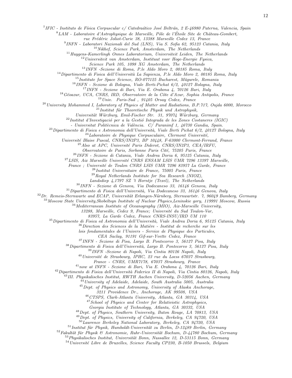<sup>7</sup>IFIC - Instituto de Física Corpuscular c/ Catedraático José Beltrán, 2 E-46980 Paterna, Valencia, Spain

 $8$ LAM - Laboratoire d'Astrophysique de Marseille, Pôle de l'Étoile Site de Château-Gombert,

rue Frédéric Joliot-Curie 38, 13388 Marseille Cedex 13, France

9 INFN - Laboratori Nazionali del Sud (LNS), Via S. Sofia 62, 95123 Catania, Italy

 $10$ Nikhef, Science Park, Amsterdam, The Netherlands

 $11$  Huygens-Kamerlingh Onnes Laboratorium, Universiteit Leiden, The Netherlands

 $12$ Universiteit van Amsterdam, Instituut voor Hoge-Energie Fysica,

Science Park 105, 1098 XG Amsterdam, The Netherlands

<sup>13</sup>INFN -Sezione di Roma, P.le Aldo Moro 2, 00185 Roma, Italy

 $14$ Dipartimento di Fisica dell'Università La Sapienza, P.le Aldo Moro 2, 00185 Roma, Italy

 $15$ Institute for Space Science, RO-077125 Bucharest, Măgurele, Romania

<sup>16</sup>INFN - Sezione di Bologna, Viale Berti-Pichat 6/2, 40127 Bologna, Italy

<sup>17</sup>INFN - Sezione di Bari, Via E. Orabona 4, 70126 Bari, Italy

 $18Géoazur, UCA, CNRS, IRD, Observatoire de la Côte d'Azur, Sophia Antipolis, France$ 

 $19$ Univ. Paris-Sud, 91405 Orsay Cedex, France

 $^{20}$ University Mohammed I, Laboratory of Physics of Matter and Radiations, B.P.717, Oujda 6000, Morocco

 $^{21}$ Institut für Theoretische Physik und Astrophysik,

Universität Würzburg, Emil-Fischer Str. 31, 97074 Würzburg, Germany

 $^{22}$ Institut d'Investigació per a la Gestió Integrada de les Zones Costaneres (IGIC)

- Universitat Politècnica de València. C/ Paranimf 1, 46730 Gandia, Spain.

<sup>23</sup> Dipartimento di Fisica e Astronomia dell'Università, Viale Berti Pichat 6/2, 40127 Bologna, Italy

 $24$ Laboratoire de Physique Corpusculaire, Clermont Université,

Université Blaise Pascal, CNRS/IN2P3, BP 10448, F-63000 Clermont-Ferrand, France

 $^{25}$ Also at APC, Université Paris Diderot, CNRS/IN2P3, CEA/IRFU,

Observatoire de Paris, Sorbonne Paris Cité, 75205 Paris, France

<sup>26</sup>INFN - Sezione di Catania, Viale Andrea Doria 6, 95125 Catania, Italy

 $^{27}$ LSIS, Aix Marseille Université CNRS ENSAM LSIS UMR 7296 13397 Marseille,

France ; Université de Toulon CNRS LSIS UMR 7296 83957 La Garde, France

<sup>28</sup>Institut Universitaire de France, 75005 Paris, France

 $^{29}$ Royal Netherlands Institute for Sea Research (NIOZ),

Landsdiep 4,1797 SZ 't Horntje (Texel), The Netherlands

<sup>30</sup>INFN - Sezione di Genova, Via Dodecaneso 33, 16146 Genova, Italy

 $31$ Dipartimento di Fisica dell'Università, Via Dodecaneso 33, 16146 Genova, Italy

 $32Dr.$  Remeis-Sternwarte and ECAP, Universität Erlangen-Nürnberg, Sternwartstr. 7, 96049 Bamberg, Germany

<sup>33</sup>Moscow State University,Skobeltsyn Institute of Nuclear Physics,Leninskie gory, 119991 Moscow, Russia

<sup>34</sup>Mediterranean Institute of Oceanography (MIO), Aix-Marseille University,

13288, Marseille, Cedex 9, France; Université du Sud Toulon-Var,

83957, La Garde Cedex, France CNRS-INSU/IRD UM 110

 $35$ Dipartimento di Fisica ed Astronomia dell'Università, Viale Andrea Doria 6, 95125 Catania, Italy

 $36$ Direction des Sciences de la Matière - Institut de recherche sur les

lois fondamentales de l'Univers - Service de Physique des Particules,

CEA Saclay, 91191 Gif-sur-Yvette Cedex, France

<sup>37</sup>INFN - Sezione di Pisa, Largo B. Pontecorvo 3, 56127 Pisa, Italy

 $38$ Dipartimento di Fisica dell'Università, Largo B. Pontecorvo 3, 56127 Pisa, Italy

<sup>39</sup>INFN -Sezione di Napoli, Via Cintia 80126 Napoli, Italy

 $^{40}$ Université de Strasbourg, IPHC, 23 rue du Loess 67037 Strasbourg,

France - CNRS, UMR7178, 67037 Strasbourg, France

 $^{41}$ now at INFN - Sezione di Bari, Via E. Orabona 4, 70126 Bari, Italy

 $^{42}$ Dipartimento di Fisica dell'Università Federico II di Napoli, Via Cintia 80126, Napoli, Italy

<sup>43</sup>III. Physikalisches Institut, RWTH Aachen University, D-52056 Aachen, Germany

 $^{44}$ University of Adelaide, Adelaide, South Australia 5005, Australia

<sup>45</sup>Dept. of Physics and Astronomy, University of Alaska Anchorage,

3211 Providence Dr., Anchorage, AK 99508, USA

<sup>46</sup>CTSPS, Clark-Atlanta University, Atlanta, GA 30314, USA

 $47$  School of Physics and Center for Relativistic Astrophysics,

Georgia Institute of Technology, Atlanta, GA 30332, USA

<sup>48</sup>Dept. of Physics, Southern University, Baton Rouge, LA 70813, USA

<sup>49</sup>Dept. of Physics, University of California, Berkeley, CA 94720, USA

<sup>50</sup>Lawrence Berkeley National Laboratory, Berkeley, CA 94720, USA

 $51$ Institut für Physik, Humboldt-Universität zu Berlin, D-12489 Berlin, Germany

 $52$ Fakultät für Physik & Astronomie, Ruhr-Universität Bochum, D-44780 Bochum, Germany

 $53$ Physikalisches Institut, Universität Bonn, Nussallee 12, D-53115 Bonn, Germany

 $54$ Université Libre de Bruxelles, Science Faculty CP230, B-1050 Brussels, Belgium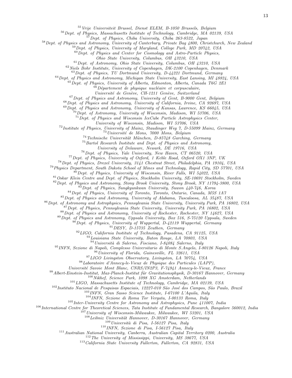Vrije Universiteit Brussel, Dienst ELEM, B-1050 Brussels, Belgium

Dept. of Physics, Massachusetts Institute of Technology, Cambridge, MA 02139, USA

Dept. of Physics, Chiba University, Chiba 263-8522, Japan

Dept. of Physics and Astronomy, University of Canterbury, Private Bag 4800, Christchurch, New Zealand

<sup>59</sup>Dept. of Physics, University of Maryland, College Park, MD 20742, USA

 $^{60}$  Dept. of Physics and Center for Cosmology and Astro-Particle Physics,

Ohio State University, Columbus, OH 43210, USA

Dept. of Astronomy, Ohio State University, Columbus, OH 43210, USA

Niels Bohr Institute, University of Copenhagen, DK-2100 Copenhagen, Denmark

Dept. of Physics, TU Dortmund University, D-44221 Dortmund, Germany

Dept. of Physics and Astronomy, Michigan State University, East Lansing, MI 48824, USA

 ${}^{65}$ Dept. of Physics, University of Alberta, Edmonton, Alberta, Canada T6G 2E1

 $^{66}$ Département de physique nucléaire et corpusculaire,

Université de Genève, CH-1211 Genève, Switzerland

Dept. of Physics and Astronomy, University of Gent, B-9000 Gent, Belgium

Dept. of Physics and Astronomy, University of California, Irvine, CA 92697, USA

 $^{69}$  Dept. of Physics and Astronomy, University of Kansas, Lawrence, KS 66045, USA

Dept. of Astronomy, University of Wisconsin, Madison, WI 53706, USA

Dept. of Physics and Wisconsin IceCube Particle Astrophysics Center,

University of Wisconsin, Madison, WI 53706, USA

Institute of Physics, University of Mainz, Staudinger Weg 7, D-55099 Mainz, Germany

Université de Mons,  $7000$  Mons, Belgium

 $^{74}$ Technische Universität München, D-85748 Garching, Germany

Bartol Research Institute and Dept. of Physics and Astronomy,

University of Delaware, Newark, DE 19716, USA

Dept. of Physics, Yale University, New Haven, CT 06520, USA

 $^{77}$  Dept. of Physics, University of Oxford, 1 Keble Road, Oxford OX1 3NP, UK

Dept. of Physics, Drexel University, 3141 Chestnut Street, Philadelphia, PA 19104, USA

<sup>79</sup> Physics Department, South Dakota School of Mines and Technology, Rapid City, SD 57701, USA

Dept. of Physics, University of Wisconsin, River Falls, WI 54022, USA

Oskar Klein Centre and Dept. of Physics, Stockholm University, SE-10691 Stockholm, Sweden

<sup>82</sup>Dept. of Physics and Astronomy, Stony Brook University, Stony Brook, NY 11794-3800, USA

Dept. of Physics, Sungkyunkwan University, Suwon 440-746, Korea

Dept. of Physics, University of Toronto, Toronto, Ontario, Canada, M5S 1A7

Dept. of Physics and Astronomy, University of Alabama, Tuscaloosa, AL 35487, USA

Dept. of Astronomy and Astrophysics, Pennsylvania State University, University Park, PA 16802, USA

Dept. of Physics, Pennsylvania State University, University Park, PA 16802, USA

Dept. of Physics and Astronomy, University of Rochester, Rochester, NY 14627, USA

Dept. of Physics and Astronomy, Uppsala University, Box 516, S-75120 Uppsala, Sweden

 $Dept.$  of Physics, University of Wuppertal, D-42119 Wuppertal, Germany

DESY, D-15735 Zeuthen, Germany

 $92 LIGO, California Institute of Technology, Pasadena, CA 91125, USA$ 

Louisiana State University, Baton Rouge, LA  $70803$ , USA

 $^{94}$ Università di Salerno, Fisciano, I-84084 Salerno, Italy

INFN, Sezione di Napoli, Complesso Universitario di Monte S.Angelo, I-80126 Napoli, Italy

University of Florida, Gainesville, FL 32611, USA

 $97 LIGO$  Livingston Observatory, Livingston, LA  $70754$ , USA

Laboratoire d'Annecy-le-Vieux de Physique des Particules (LAPP),

Université Savoie Mont Blanc, CNRS/IN2P3, F-74941 Annecy-le-Vieux, France

<sup>99</sup>Albert-Einstein-Institut, Max-Planck-Institut für Gravitationsphysik, D-30167 Hannover, Germany

Nikhef, Science Park, 1098 XG Amsterdam, Netherlands

LIGO, Massachusetts Institute of Technology, Cambridge, MA 02139, USA

<sup>102</sup> Instituto Nacional de Pesquisas Espaciais, 12227-010 São José dos Campos, São Paulo, Brazil

INFN, Gran Sasso Science Institute, I-67100 L'Aquila, Italy

INFN, Sezione di Roma Tor Vergata, I-00133 Roma, Italy

Inter-University Centre for Astronomy and Astrophysics, Pune 411007, India

<sup>106</sup> International Centre for Theoretical Sciences, Tata Institute of Fundamental Research, Bangalore 560012, India

 $1^{107}$  University of Wisconsin-Milwaukee, Milwaukee, WI 53201, USA

Leibniz Universität Hannover, D-30167 Hannover, Germany

Università di Pisa, I-56127 Pisa, Italy

INFN, Sezione di Pisa, I-56127 Pisa, Italy

Australian National University, Canberra, Australian Capital Territory 0200, Australia

The University of Mississippi, University, MS 38677, USA

California State University Fullerton, Fullerton, CA 92831, USA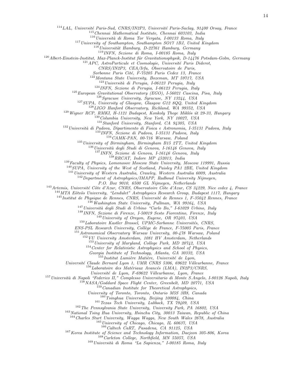$114$ LAL, Université Paris-Sud, CNRS/IN2P3, Université Paris-Saclay, 91400 Orsay, France

<sup>115</sup>Chennai Mathematical Institute, Chennai 603103, India

 $116$ Università di Roma Tor Vergata, I-00133 Roma, Italy

 $^{117}$ University of Southampton, Southampton SO17 1BJ, United Kingdom

Universität Hamburg, D-22761 Hamburg, Germany

<sup>119</sup>INFN, Sezione di Roma, I-00185 Roma, Italy

<sup>120</sup> Albert-Einstein-Institut, Max-Planck-Institut für Gravitationsphysik, D-14476 Potsdam-Golm, Germany

 $121$  APC, AstroParticule et Cosmologie, Université Paris Diderot,

CNRS/IN2P3, CEA/Irfu, Observatoire de Paris,

Sorbonne Paris Cité, F-75205 Paris Cedex 13, France

<sup>122</sup>Montana State University, Bozeman, MT 59717, USA

 $123$ Università di Perugia, I-06123 Perugia, Italy

<sup>124</sup>INFN, Sezione di Perugia, I-06123 Perugia, Italy

<sup>125</sup>European Gravitational Observatory (EGO), I-56021 Cascina, Pisa, Italy

 $126$  Syracuse University, Syracuse, NY 13244, USA

<sup>127</sup> SUPA, University of Glasgow, Glasgow G12 8QQ, United Kingdom

 $128$ LIGO Hanford Observatory, Richland, WA 99352, USA

 $129$  Wigner RCP, RMKI, H-1121 Budapest, Konkoly Thege Miklós út 29-33, Hungary

 $^{130}$ Columbia University, New York, NY 10027, USA

 $^{131}$ Stanford University, Stanford, CA 94305, USA

 $^{132}$ Università di Padova, Dipartimento di Fisica e Astronomia, I-35131 Padova, Italy

<sup>133</sup>INFN, Sezione di Padova, I-35131 Padova, Italy

 $134$ CAMK-PAN, 00-716 Warsaw, Poland

 $135$  University of Birmingham, Birmingham B15 2TT, United Kingdom

 $136$ Università degli Studi di Genova, I-16146 Genova, Italy

 $137$  INFN, Sezione di Genova, I-16146 Genova, Italy

 $138$ RRCAT, Indore MP 452013, India

<sup>139</sup>Faculty of Physics, Lomonosov Moscow State University, Moscow 119991, Russia

<sup>140</sup>SUPA, University of the West of Scotland, Paisley PA1 2BE, United Kingdom

 $141$ University of Western Australia, Crawley, Western Australia 6009, Australia

 $142$  Department of Astrophysics/IMAPP, Radboud University Nijmegen,

P.O. Box 9010, 6500 GL Nijmegen, Netherlands

 $143$  Artemis. Université Côte d'Azur, CNRS, Observatoire Côte d'Azur, CS 34229, Nice cedex 4, France

 $144$ MTA Eötvös University, "Lendulet" Astrophysics Research Group, Budapest 1117, Hungary

 $145$ Institut de Physique de Rennes, CNRS, Université de Rennes 1, F-35042 Rennes, France

 $1^{146}$  Washington State University, Pullman, WA 99164, USA

 $147$ Università degli Studi di Urbino "Carlo Bo," I-61029 Urbino, Italy

<sup>148</sup>INFN, Sezione di Firenze, I-50019 Sesto Fiorentino, Firenze, Italy

<sup>149</sup>University of Oregon, Eugene, OR 97403, USA

 $^{150}$ Laboratoire Kastler Brossel, UPMC-Sorbonne Universités, CNRS,

ENS-PSL Research University, Collège de France, F-75005 Paris, France

<sup>151</sup>Astronomical Observatory Warsaw University, 00-478 Warsaw, Poland

 $^{152}\,VU$ University Amsterdam, 1081 HV Amsterdam, Netherlands

<sup>153</sup>University of Maryland, College Park, MD 20742, USA

<sup>154</sup> Center for Relativistic Astrophysics and School of Physics,

Georgia Institute of Technology, Atlanta, GA 30332, USA

 $^{155}$ Institut Lumière Matière, Université de Lyon,

Universit´e Claude Bernard Lyon 1, UMR CNRS 5306, 69622 Villeurbanne, France

 $^{156}$ Laboratoire des Matériaux Avancés (LMA), IN2P3/CNRS,

Université de Lyon, F-69622 Villeurbanne, Lyon, France

<sup>157</sup> Università di Napoli "Federico II," Complesso Universitario di Monte S.Angelo, I-80126 Napoli, Italy

<sup>158</sup>NASA/Goddard Space Flight Center, Greenbelt, MD 20771, USA

<sup>159</sup>Canadian Institute for Theoretical Astrophysics,

University of Toronto, Toronto, Ontario M5S 3H8, Canada

 $^{160}T\sin ghua$  University, Beijing 100084, China

<sup>161</sup> Texas Tech University, Lubbock, TX 79409, USA

<sup>162</sup>The Pennsylvania State University, University Park, PA 16802, USA

<sup>163</sup>National Tsing Hua University, Hsinchu City, 30013 Taiwan, Republic of China

<sup>164</sup>Charles Sturt University, Wagga Wagga, New South Wales 2678, Australia

 $^{165}$  University of Chicago, Chicago, IL 60637, USA

166 Caltech CaRT, Pasadena, CA 91125, USA

<sup>167</sup>Korea Institute of Science and Technology Information, Daejeon 305-806, Korea

 $168$  Carleton College, Northfield, MN 55057, USA

 $169$ Università di Roma "La Sapienza," I-00185 Roma, Italy